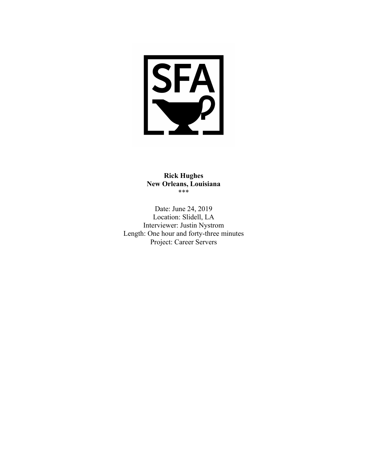

**Rick Hughes New Orleans, Louisiana** \*\*\*

Date: June 24, 2019 Location: Slidell, LA Interviewer: Justin Nystrom Length: One hour and forty-three minutes Project: Career Servers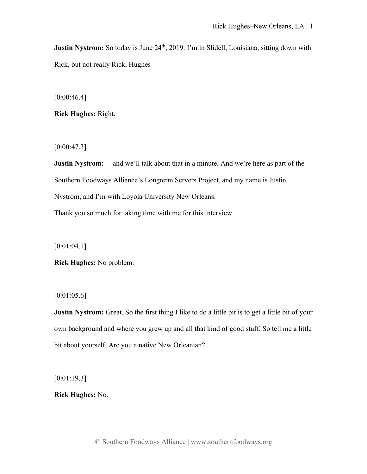**Justin Nystrom:** So today is June 24<sup>th</sup>, 2019. I'm in Slidell, Louisiana, sitting down with Rick, but not really Rick, Hughes—

 $[0:00:46.4]$ 

**Rick Hughes:** Right.

 $[0:00:47.3]$ 

**Justin Nystrom:** —and we'll talk about that in a minute. And we're here as part of the Southern Foodways Alliance's Longterm Servers Project, and my name is Justin Nystrom, and I'm with Loyola University New Orleans.

Thank you so much for taking time with me for this interview.

[0:01:04.1]

**Rick Hughes:** No problem.

[0:01:05.6]

**Justin Nystrom:** Great. So the first thing I like to do a little bit is to get a little bit of your own background and where you grew up and all that kind of good stuff. So tell me a little bit about yourself. Are you a native New Orleanian?

[0:01:19.3]

**Rick Hughes:** No.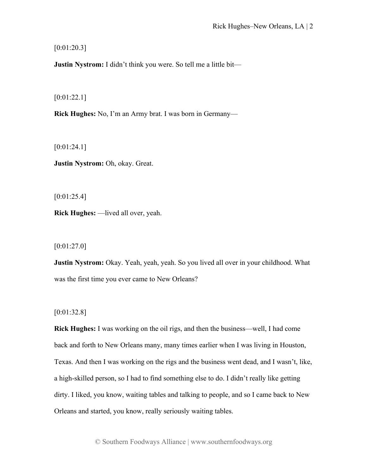[0:01:20.3]

**Justin Nystrom:** I didn't think you were. So tell me a little bit—

[0:01:22.1]

**Rick Hughes:** No, I'm an Army brat. I was born in Germany—

 $[0:01:24.1]$ 

**Justin Nystrom:** Oh, okay. Great.

[0:01:25.4]

**Rick Hughes:** —lived all over, yeah.

[0:01:27.0]

**Justin Nystrom:** Okay. Yeah, yeah, yeah. So you lived all over in your childhood. What was the first time you ever came to New Orleans?

[0:01:32.8]

**Rick Hughes:** I was working on the oil rigs, and then the business—well, I had come back and forth to New Orleans many, many times earlier when I was living in Houston, Texas. And then I was working on the rigs and the business went dead, and I wasn't, like, a high-skilled person, so I had to find something else to do. I didn't really like getting dirty. I liked, you know, waiting tables and talking to people, and so I came back to New Orleans and started, you know, really seriously waiting tables.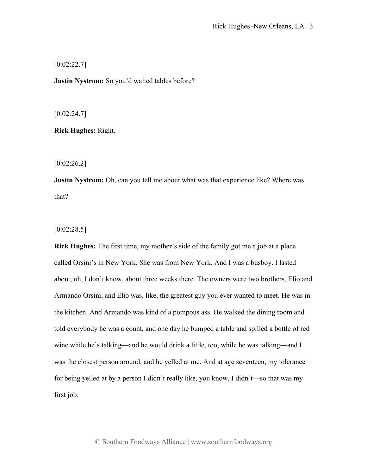$[0:02:22.7]$ 

**Justin Nystrom:** So you'd waited tables before?

 $[0:02:24.7]$ 

**Rick Hughes:** Right.

[0:02:26.2]

**Justin Nystrom:** Oh, can you tell me about what was that experience like? Where was that?

 $[0:02:28.5]$ 

**Rick Hughes:** The first time, my mother's side of the family got me a job at a place called Orsini's in New York. She was from New York. And I was a busboy. I lasted about, oh, I don't know, about three weeks there. The owners were two brothers, Elio and Armando Orsini, and Elio was, like, the greatest guy you ever wanted to meet. He was in the kitchen. And Armando was kind of a pompous ass. He walked the dining room and told everybody he was a count, and one day he bumped a table and spilled a bottle of red wine while he's talking—and he would drink a little, too, while he was talking—and I was the closest person around, and he yelled at me. And at age seventeen, my tolerance for being yelled at by a person I didn't really like, you know, I didn't—so that was my first job.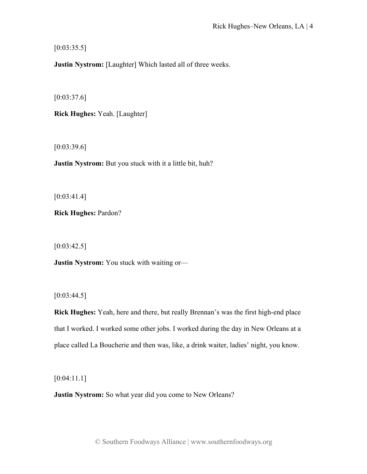$[0:03:35.5]$ 

**Justin Nystrom:** [Laughter] Which lasted all of three weeks.

 $[0:03:37.6]$ 

**Rick Hughes:** Yeah. [Laughter]

 $[0:03:39.6]$ 

**Justin Nystrom:** But you stuck with it a little bit, huh?

 $[0:03:41.4]$ 

**Rick Hughes:** Pardon?

 $[0:03:42.5]$ 

**Justin Nystrom:** You stuck with waiting or—

 $[0:03:44.5]$ 

**Rick Hughes:** Yeah, here and there, but really Brennan's was the first high-end place that I worked. I worked some other jobs. I worked during the day in New Orleans at a place called La Boucherie and then was, like, a drink waiter, ladies' night, you know.

[0:04:11.1]

**Justin Nystrom:** So what year did you come to New Orleans?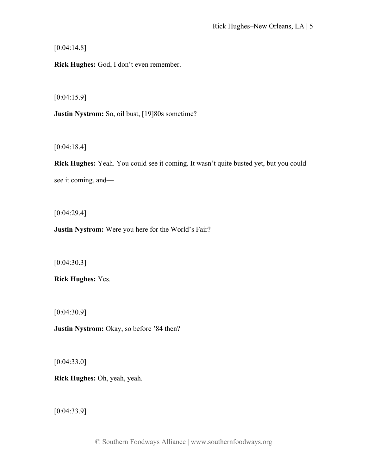[0:04:14.8]

**Rick Hughes:** God, I don't even remember.

[0:04:15.9]

**Justin Nystrom:** So, oil bust, [19]80s sometime?

[0:04:18.4]

**Rick Hughes:** Yeah. You could see it coming. It wasn't quite busted yet, but you could see it coming, and—

[0:04:29.4]

**Justin Nystrom:** Were you here for the World's Fair?

[0:04:30.3]

**Rick Hughes:** Yes.

[0:04:30.9]

**Justin Nystrom:** Okay, so before '84 then?

[0:04:33.0]

**Rick Hughes:** Oh, yeah, yeah.

[0:04:33.9]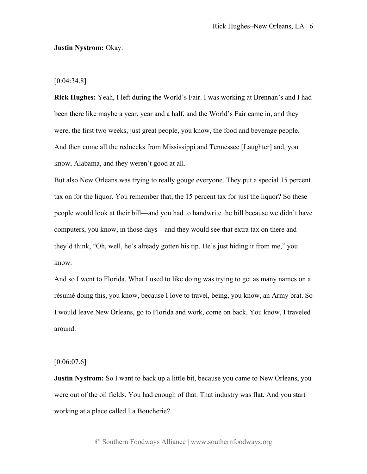#### **Justin Nystrom:** Okay.

#### [0:04:34.8]

**Rick Hughes:** Yeah, I left during the World's Fair. I was working at Brennan's and I had been there like maybe a year, year and a half, and the World's Fair came in, and they were, the first two weeks, just great people, you know, the food and beverage people. And then come all the rednecks from Mississippi and Tennessee [Laughter] and, you know, Alabama, and they weren't good at all.

But also New Orleans was trying to really gouge everyone. They put a special 15 percent tax on for the liquor. You remember that, the 15 percent tax for just the liquor? So these people would look at their bill—and you had to handwrite the bill because we didn't have computers, you know, in those days—and they would see that extra tax on there and they'd think, "Oh, well, he's already gotten his tip. He's just hiding it from me," you know.

And so I went to Florida. What I used to like doing was trying to get as many names on a résumé doing this, you know, because I love to travel, being, you know, an Army brat. So I would leave New Orleans, go to Florida and work, come on back. You know, I traveled around.

## [0:06:07.6]

**Justin Nystrom:** So I want to back up a little bit, because you came to New Orleans, you were out of the oil fields. You had enough of that. That industry was flat. And you start working at a place called La Boucherie?

© Southern Foodways Alliance | www.southernfoodways.org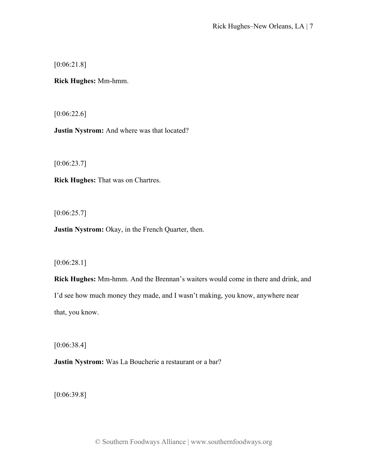[0:06:21.8]

**Rick Hughes:** Mm-hmm.

[0:06:22.6]

**Justin Nystrom:** And where was that located?

[0:06:23.7]

**Rick Hughes:** That was on Chartres.

 $[0:06:25.7]$ 

**Justin Nystrom:** Okay, in the French Quarter, then.

# [0:06:28.1]

**Rick Hughes:** Mm-hmm. And the Brennan's waiters would come in there and drink, and I'd see how much money they made, and I wasn't making, you know, anywhere near that, you know.

[0:06:38.4]

**Justin Nystrom:** Was La Boucherie a restaurant or a bar?

[0:06:39.8]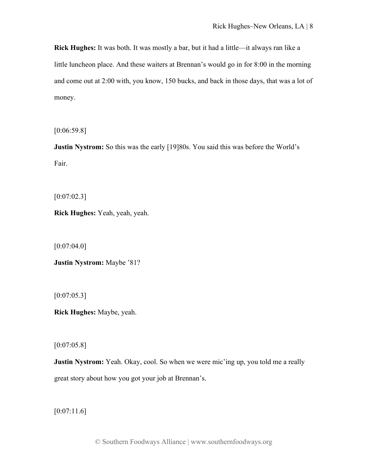**Rick Hughes:** It was both. It was mostly a bar, but it had a little—it always ran like a little luncheon place. And these waiters at Brennan's would go in for 8:00 in the morning and come out at 2:00 with, you know, 150 bucks, and back in those days, that was a lot of money.

[0:06:59.8]

**Justin Nystrom:** So this was the early [19]80s. You said this was before the World's Fair.

 $[0:07:02.3]$ 

**Rick Hughes:** Yeah, yeah, yeah.

 $[0:07:04.0]$ 

**Justin Nystrom:** Maybe '81?

 $[0:07:05.3]$ 

**Rick Hughes:** Maybe, yeah.

 $[0:07:05.8]$ 

**Justin Nystrom:** Yeah. Okay, cool. So when we were mic'ing up, you told me a really great story about how you got your job at Brennan's.

 $[0:07:11.6]$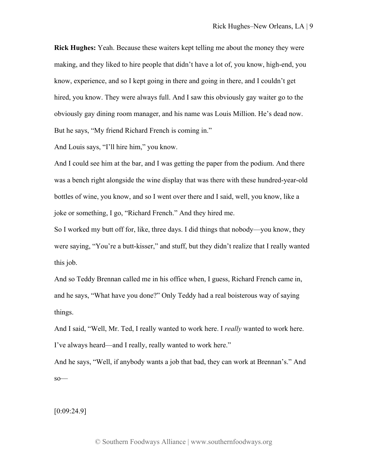**Rick Hughes:** Yeah. Because these waiters kept telling me about the money they were making, and they liked to hire people that didn't have a lot of, you know, high-end, you know, experience, and so I kept going in there and going in there, and I couldn't get hired, you know. They were always full. And I saw this obviously gay waiter go to the obviously gay dining room manager, and his name was Louis Million. He's dead now. But he says, "My friend Richard French is coming in."

And Louis says, "I'll hire him," you know.

And I could see him at the bar, and I was getting the paper from the podium. And there was a bench right alongside the wine display that was there with these hundred-year-old bottles of wine, you know, and so I went over there and I said, well, you know, like a joke or something, I go, "Richard French." And they hired me.

So I worked my butt off for, like, three days. I did things that nobody—you know, they were saying, "You're a butt-kisser," and stuff, but they didn't realize that I really wanted this job.

And so Teddy Brennan called me in his office when, I guess, Richard French came in, and he says, "What have you done?" Only Teddy had a real boisterous way of saying things.

And I said, "Well, Mr. Ted, I really wanted to work here. I *really* wanted to work here. I've always heard—and I really, really wanted to work here."

And he says, "Well, if anybody wants a job that bad, they can work at Brennan's." And so—

[0:09:24.9]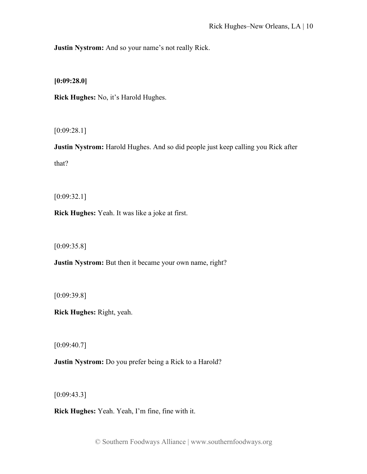**Justin Nystrom:** And so your name's not really Rick.

**[0:09:28.0]**

**Rick Hughes:** No, it's Harold Hughes.

[0:09:28.1]

**Justin Nystrom:** Harold Hughes. And so did people just keep calling you Rick after that?

[0:09:32.1]

**Rick Hughes:** Yeah. It was like a joke at first.

[0:09:35.8]

**Justin Nystrom:** But then it became your own name, right?

[0:09:39.8]

**Rick Hughes:** Right, yeah.

 $[0:09:40.7]$ 

**Justin Nystrom:** Do you prefer being a Rick to a Harold?

[0:09:43.3]

**Rick Hughes:** Yeah. Yeah, I'm fine, fine with it.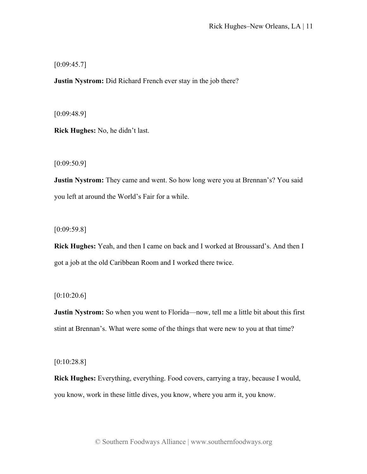$[0:09:45.7]$ 

**Justin Nystrom:** Did Richard French ever stay in the job there?

[0:09:48.9]

**Rick Hughes:** No, he didn't last.

[0:09:50.9]

**Justin Nystrom:** They came and went. So how long were you at Brennan's? You said you left at around the World's Fair for a while.

[0:09:59.8]

**Rick Hughes:** Yeah, and then I came on back and I worked at Broussard's. And then I got a job at the old Caribbean Room and I worked there twice.

 $[0:10:20.6]$ 

**Justin Nystrom:** So when you went to Florida—now, tell me a little bit about this first stint at Brennan's. What were some of the things that were new to you at that time?

[0:10:28.8]

**Rick Hughes:** Everything, everything. Food covers, carrying a tray, because I would, you know, work in these little dives, you know, where you arm it, you know.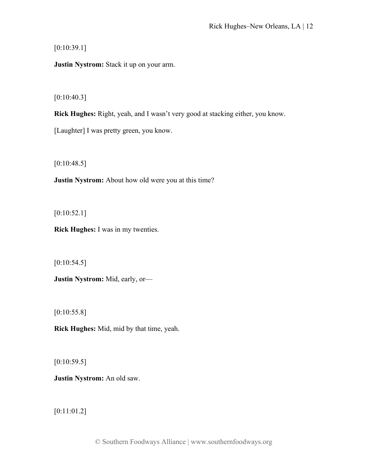$[0:10:39.1]$ 

**Justin Nystrom:** Stack it up on your arm.

 $[0:10:40.3]$ 

**Rick Hughes:** Right, yeah, and I wasn't very good at stacking either, you know.

[Laughter] I was pretty green, you know.

 $[0:10:48.5]$ 

**Justin Nystrom:** About how old were you at this time?

 $[0:10:52.1]$ 

**Rick Hughes:** I was in my twenties.

 $[0:10:54.5]$ 

**Justin Nystrom:** Mid, early, or—

 $[0:10:55.8]$ 

**Rick Hughes:** Mid, mid by that time, yeah.

 $[0:10:59.5]$ 

**Justin Nystrom:** An old saw.

[0:11:01.2]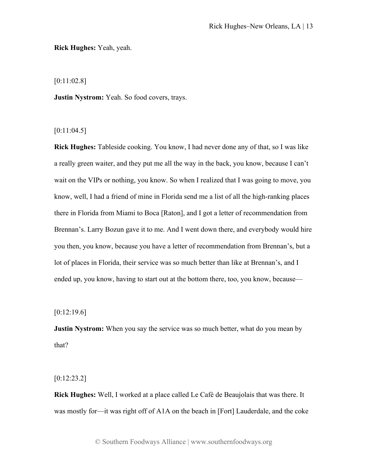**Rick Hughes:** Yeah, yeah.

[0:11:02.8]

**Justin Nystrom:** Yeah. So food covers, trays.

 $[0:11:04.5]$ 

**Rick Hughes:** Tableside cooking. You know, I had never done any of that, so I was like a really green waiter, and they put me all the way in the back, you know, because I can't wait on the VIPs or nothing, you know. So when I realized that I was going to move, you know, well, I had a friend of mine in Florida send me a list of all the high-ranking places there in Florida from Miami to Boca [Raton], and I got a letter of recommendation from Brennan's. Larry Bozun gave it to me. And I went down there, and everybody would hire you then, you know, because you have a letter of recommendation from Brennan's, but a lot of places in Florida, their service was so much better than like at Brennan's, and I ended up, you know, having to start out at the bottom there, too, you know, because—

 $[0:12:19.6]$ 

**Justin Nystrom:** When you say the service was so much better, what do you mean by that?

[0:12:23.2]

**Rick Hughes:** Well, I worked at a place called Le Café de Beaujolais that was there. It was mostly for—it was right off of A1A on the beach in [Fort] Lauderdale, and the coke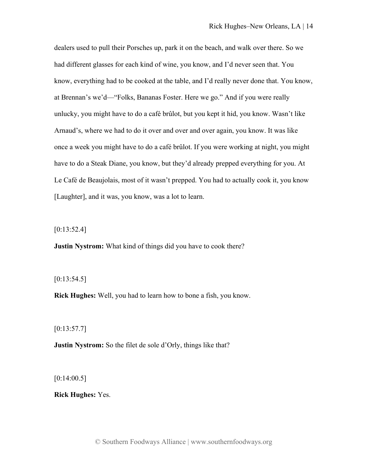dealers used to pull their Porsches up, park it on the beach, and walk over there. So we had different glasses for each kind of wine, you know, and I'd never seen that. You know, everything had to be cooked at the table, and I'd really never done that. You know, at Brennan's we'd—"Folks, Bananas Foster. Here we go." And if you were really unlucky, you might have to do a café brûlot, but you kept it hid, you know. Wasn't like Arnaud's, where we had to do it over and over and over again, you know. It was like once a week you might have to do a café brûlot. If you were working at night, you might have to do a Steak Diane, you know, but they'd already prepped everything for you. At Le Café de Beaujolais, most of it wasn't prepped. You had to actually cook it, you know [Laughter], and it was, you know, was a lot to learn.

 $[0:13:52.4]$ 

**Justin Nystrom:** What kind of things did you have to cook there?

 $[0:13:54.5]$ 

**Rick Hughes:** Well, you had to learn how to bone a fish, you know.

 $[0:13:57.7]$ 

**Justin Nystrom:** So the filet de sole d'Orly, things like that?

 $[0:14:00.5]$ 

**Rick Hughes:** Yes.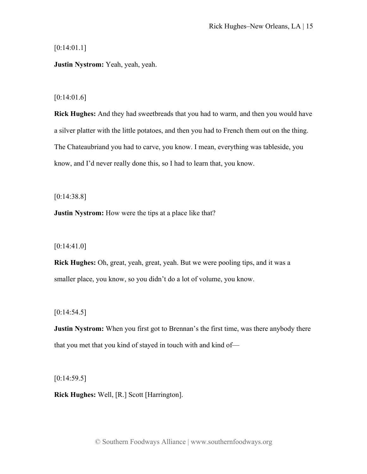[0:14:01.1]

**Justin Nystrom:** Yeah, yeah, yeah.

## [0:14:01.6]

**Rick Hughes:** And they had sweetbreads that you had to warm, and then you would have a silver platter with the little potatoes, and then you had to French them out on the thing. The Chateaubriand you had to carve, you know. I mean, everything was tableside, you know, and I'd never really done this, so I had to learn that, you know.

[0:14:38.8]

**Justin Nystrom:** How were the tips at a place like that?

[0:14:41.0]

**Rick Hughes:** Oh, great, yeah, great, yeah. But we were pooling tips, and it was a smaller place, you know, so you didn't do a lot of volume, you know.

 $[0:14:54.5]$ 

**Justin Nystrom:** When you first got to Brennan's the first time, was there anybody there that you met that you kind of stayed in touch with and kind of—

 $[0:14:59.5]$ 

**Rick Hughes:** Well, [R.] Scott [Harrington].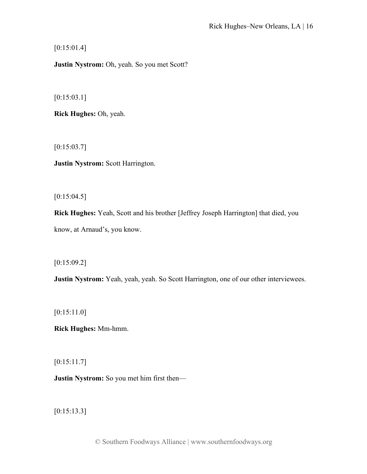$[0:15:01.4]$ 

**Justin Nystrom:** Oh, yeah. So you met Scott?

[0:15:03.1]

**Rick Hughes:** Oh, yeah.

[0:15:03.7]

**Justin Nystrom:** Scott Harrington.

 $[0:15:04.5]$ 

**Rick Hughes:** Yeah, Scott and his brother [Jeffrey Joseph Harrington] that died, you know, at Arnaud's, you know.

[0:15:09.2]

**Justin Nystrom:** Yeah, yeah, yeah. So Scott Harrington, one of our other interviewees.

[0:15:11.0]

**Rick Hughes:** Mm-hmm.

[0:15:11.7]

**Justin Nystrom:** So you met him first then—

[0:15:13.3]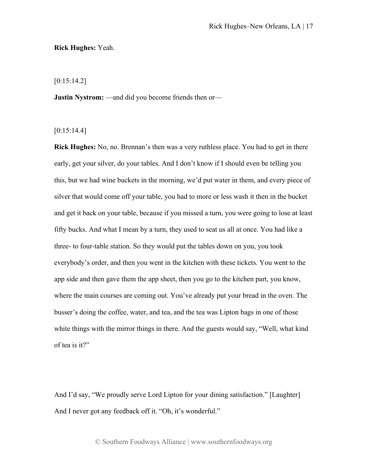#### **Rick Hughes:** Yeah.

[0:15:14.2]

**Justin Nystrom:** —and did you become friends then or—

 $[0:15:14.4]$ 

**Rick Hughes:** No, no. Brennan's then was a very ruthless place. You had to get in there early, get your silver, do your tables. And I don't know if I should even be telling you this, but we had wine buckets in the morning, we'd put water in them, and every piece of silver that would come off your table, you had to more or less wash it then in the bucket and get it back on your table, because if you missed a turn, you were going to lose at least fifty bucks. And what I mean by a turn, they used to seat us all at once. You had like a three- to four-table station. So they would put the tables down on you, you took everybody's order, and then you went in the kitchen with these tickets. You went to the app side and then gave them the app sheet, then you go to the kitchen part, you know, where the main courses are coming out. You've already put your bread in the oven. The busser's doing the coffee, water, and tea, and the tea was Lipton bags in one of those white things with the mirror things in there. And the guests would say, "Well, what kind of tea is it?"

And I'd say, "We proudly serve Lord Lipton for your dining satisfaction." [Laughter] And I never got any feedback off it. "Oh, it's wonderful."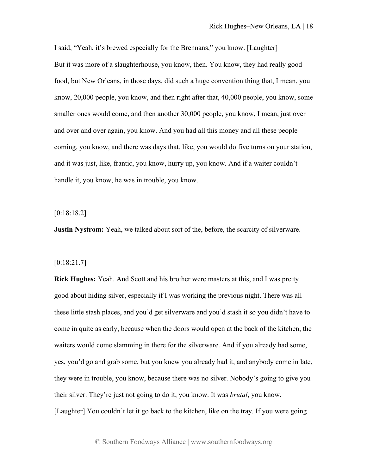I said, "Yeah, it's brewed especially for the Brennans," you know. [Laughter] But it was more of a slaughterhouse, you know, then. You know, they had really good food, but New Orleans, in those days, did such a huge convention thing that, I mean, you know, 20,000 people, you know, and then right after that, 40,000 people, you know, some smaller ones would come, and then another 30,000 people, you know, I mean, just over and over and over again, you know. And you had all this money and all these people coming, you know, and there was days that, like, you would do five turns on your station, and it was just, like, frantic, you know, hurry up, you know. And if a waiter couldn't handle it, you know, he was in trouble, you know.

#### [0:18:18.2]

**Justin Nystrom:** Yeah, we talked about sort of the, before, the scarcity of silverware.

#### [0:18:21.7]

**Rick Hughes:** Yeah. And Scott and his brother were masters at this, and I was pretty good about hiding silver, especially if I was working the previous night. There was all these little stash places, and you'd get silverware and you'd stash it so you didn't have to come in quite as early, because when the doors would open at the back of the kitchen, the waiters would come slamming in there for the silverware. And if you already had some, yes, you'd go and grab some, but you knew you already had it, and anybody come in late, they were in trouble, you know, because there was no silver. Nobody's going to give you their silver. They're just not going to do it, you know. It was *brutal*, you know. [Laughter] You couldn't let it go back to the kitchen, like on the tray. If you were going

© Southern Foodways Alliance | www.southernfoodways.org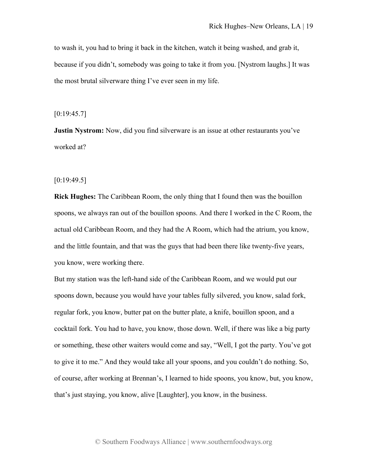to wash it, you had to bring it back in the kitchen, watch it being washed, and grab it, because if you didn't, somebody was going to take it from you. [Nystrom laughs.] It was the most brutal silverware thing I've ever seen in my life.

 $[0:19:45.7]$ 

**Justin Nystrom:** Now, did you find silverware is an issue at other restaurants you've worked at?

 $[0:19:49.5]$ 

**Rick Hughes:** The Caribbean Room, the only thing that I found then was the bouillon spoons, we always ran out of the bouillon spoons. And there I worked in the C Room, the actual old Caribbean Room, and they had the A Room, which had the atrium, you know, and the little fountain, and that was the guys that had been there like twenty-five years, you know, were working there.

But my station was the left-hand side of the Caribbean Room, and we would put our spoons down, because you would have your tables fully silvered, you know, salad fork, regular fork, you know, butter pat on the butter plate, a knife, bouillon spoon, and a cocktail fork. You had to have, you know, those down. Well, if there was like a big party or something, these other waiters would come and say, "Well, I got the party. You've got to give it to me." And they would take all your spoons, and you couldn't do nothing. So, of course, after working at Brennan's, I learned to hide spoons, you know, but, you know, that's just staying, you know, alive [Laughter], you know, in the business.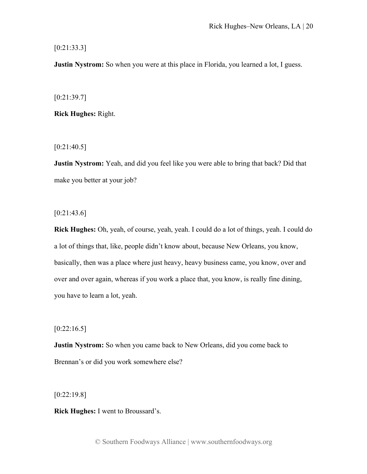[0:21:33.3]

**Justin Nystrom:** So when you were at this place in Florida, you learned a lot, I guess.

[0:21:39.7]

**Rick Hughes:** Right.

 $[0:21:40.5]$ 

**Justin Nystrom:** Yeah, and did you feel like you were able to bring that back? Did that make you better at your job?

 $[0:21:43.6]$ 

**Rick Hughes:** Oh, yeah, of course, yeah, yeah. I could do a lot of things, yeah. I could do a lot of things that, like, people didn't know about, because New Orleans, you know, basically, then was a place where just heavy, heavy business came, you know, over and over and over again, whereas if you work a place that, you know, is really fine dining, you have to learn a lot, yeah.

 $[0:22:16.5]$ 

**Justin Nystrom:** So when you came back to New Orleans, did you come back to Brennan's or did you work somewhere else?

[0:22:19.8]

**Rick Hughes:** I went to Broussard's.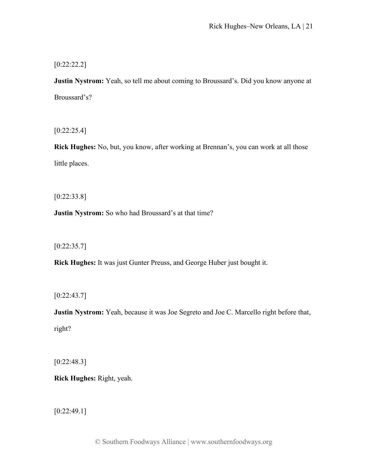[0:22:22.2]

**Justin Nystrom:** Yeah, so tell me about coming to Broussard's. Did you know anyone at Broussard's?

[0:22:25.4]

**Rick Hughes:** No, but, you know, after working at Brennan's, you can work at all those little places.

[0:22:33.8]

**Justin Nystrom:** So who had Broussard's at that time?

 $[0:22:35.7]$ 

**Rick Hughes:** It was just Gunter Preuss, and George Huber just bought it.

 $[0:22:43.7]$ 

**Justin Nystrom:** Yeah, because it was Joe Segreto and Joe C. Marcello right before that, right?

[0:22:48.3]

**Rick Hughes:** Right, yeah.

[0:22:49.1]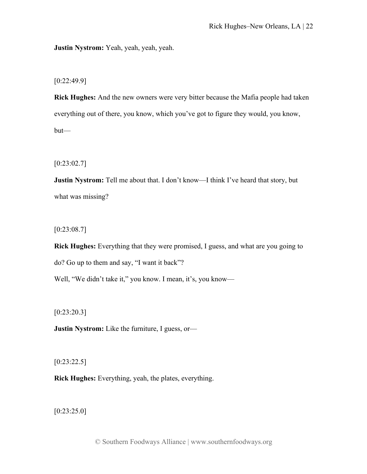**Justin Nystrom:** Yeah, yeah, yeah, yeah.

[0:22:49.9]

**Rick Hughes:** And the new owners were very bitter because the Mafia people had taken everything out of there, you know, which you've got to figure they would, you know, but—

[0:23:02.7]

**Justin Nystrom:** Tell me about that. I don't know—I think I've heard that story, but what was missing?

 $[0:23:08.7]$ 

**Rick Hughes:** Everything that they were promised, I guess, and what are you going to do? Go up to them and say, "I want it back"?

Well, "We didn't take it," you know. I mean, it's, you know-

[0:23:20.3]

**Justin Nystrom:** Like the furniture, I guess, or—

[0:23:22.5]

**Rick Hughes:** Everything, yeah, the plates, everything.

[0:23:25.0]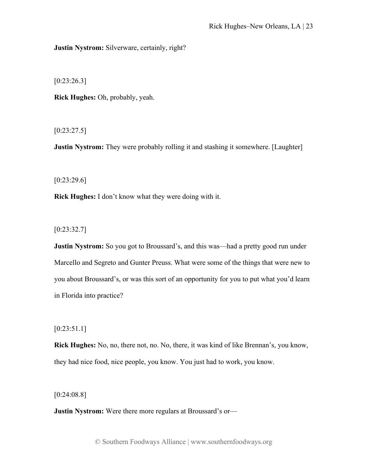**Justin Nystrom:** Silverware, certainly, right?

[0:23:26.3]

**Rick Hughes:** Oh, probably, yeah.

 $[0:23:27.5]$ 

**Justin Nystrom:** They were probably rolling it and stashing it somewhere. [Laughter]

 $[0:23:29.6]$ 

**Rick Hughes:** I don't know what they were doing with it.

[0:23:32.7]

**Justin Nystrom:** So you got to Broussard's, and this was—had a pretty good run under Marcello and Segreto and Gunter Preuss. What were some of the things that were new to you about Broussard's, or was this sort of an opportunity for you to put what you'd learn in Florida into practice?

[0:23:51.1]

**Rick Hughes:** No, no, there not, no. No, there, it was kind of like Brennan's, you know, they had nice food, nice people, you know. You just had to work, you know.

[0:24:08.8]

**Justin Nystrom:** Were there more regulars at Broussard's or—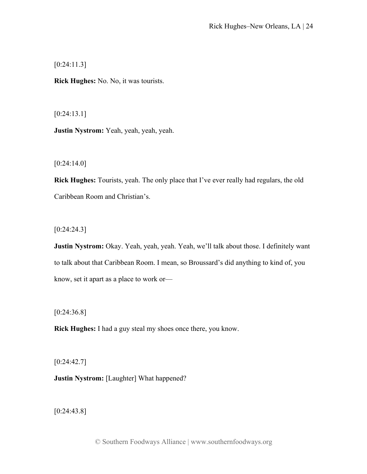[0:24:11.3]

**Rick Hughes:** No. No, it was tourists.

[0:24:13.1]

**Justin Nystrom:** Yeah, yeah, yeah, yeah.

 $[0:24:14.0]$ 

**Rick Hughes:** Tourists, yeah. The only place that I've ever really had regulars, the old Caribbean Room and Christian's.

[0:24:24.3]

**Justin Nystrom:** Okay. Yeah, yeah, yeah. Yeah, we'll talk about those. I definitely want to talk about that Caribbean Room. I mean, so Broussard's did anything to kind of, you know, set it apart as a place to work or—

[0:24:36.8]

**Rick Hughes:** I had a guy steal my shoes once there, you know.

 $[0:24:42.7]$ 

**Justin Nystrom:** [Laughter] What happened?

[0:24:43.8]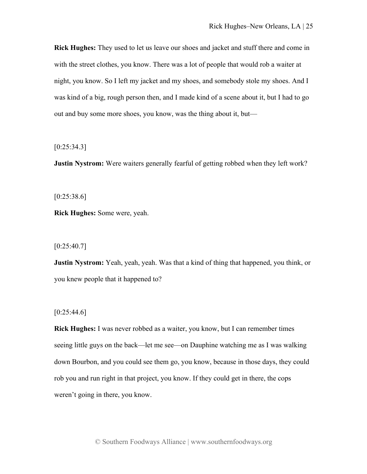**Rick Hughes:** They used to let us leave our shoes and jacket and stuff there and come in with the street clothes, you know. There was a lot of people that would rob a waiter at night, you know. So I left my jacket and my shoes, and somebody stole my shoes. And I was kind of a big, rough person then, and I made kind of a scene about it, but I had to go out and buy some more shoes, you know, was the thing about it, but—

 $[0:25:34.3]$ 

**Justin Nystrom:** Were waiters generally fearful of getting robbed when they left work?

 $[0:25:38.6]$ 

**Rick Hughes:** Some were, yeah.

 $[0:25:40.7]$ 

**Justin Nystrom:** Yeah, yeah, yeah. Was that a kind of thing that happened, you think, or you knew people that it happened to?

 $[0:25:44.6]$ 

**Rick Hughes:** I was never robbed as a waiter, you know, but I can remember times seeing little guys on the back—let me see—on Dauphine watching me as I was walking down Bourbon, and you could see them go, you know, because in those days, they could rob you and run right in that project, you know. If they could get in there, the cops weren't going in there, you know.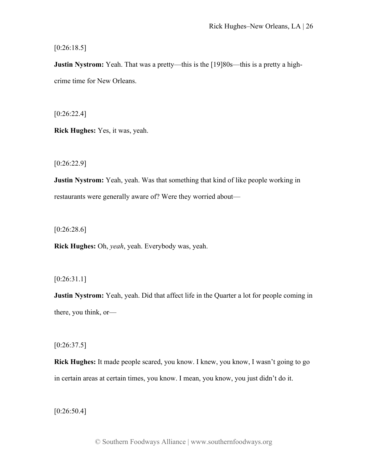$[0:26:18.5]$ 

**Justin Nystrom:** Yeah. That was a pretty—this is the [19]80s—this is a pretty a highcrime time for New Orleans.

[0:26:22.4]

**Rick Hughes:** Yes, it was, yeah.

[0:26:22.9]

**Justin Nystrom:** Yeah, yeah. Was that something that kind of like people working in restaurants were generally aware of? Were they worried about—

[0:26:28.6]

**Rick Hughes:** Oh, *yeah*, yeah. Everybody was, yeah.

[0:26:31.1]

**Justin Nystrom:** Yeah, yeah. Did that affect life in the Quarter a lot for people coming in there, you think, or—

 $[0:26:37.5]$ 

**Rick Hughes:** It made people scared, you know. I knew, you know, I wasn't going to go in certain areas at certain times, you know. I mean, you know, you just didn't do it.

[0:26:50.4]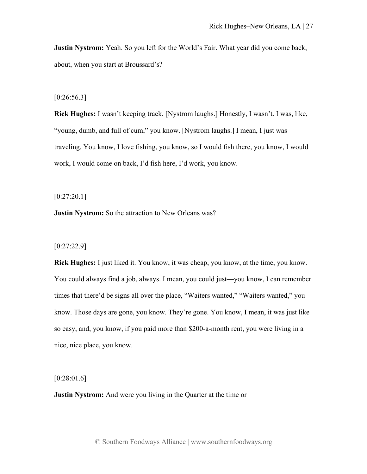**Justin Nystrom:** Yeah. So you left for the World's Fair. What year did you come back, about, when you start at Broussard's?

## $[0:26:56.3]$

**Rick Hughes:** I wasn't keeping track. [Nystrom laughs.] Honestly, I wasn't. I was, like, "young, dumb, and full of cum," you know. [Nystrom laughs.] I mean, I just was traveling. You know, I love fishing, you know, so I would fish there, you know, I would work, I would come on back, I'd fish here, I'd work, you know.

[0:27:20.1]

**Justin Nystrom:** So the attraction to New Orleans was?

[0:27:22.9]

**Rick Hughes:** I just liked it. You know, it was cheap, you know, at the time, you know. You could always find a job, always. I mean, you could just—you know, I can remember times that there'd be signs all over the place, "Waiters wanted," "Waiters wanted," you know. Those days are gone, you know. They're gone. You know, I mean, it was just like so easy, and, you know, if you paid more than \$200-a-month rent, you were living in a nice, nice place, you know.

[0:28:01.6]

**Justin Nystrom:** And were you living in the Quarter at the time or—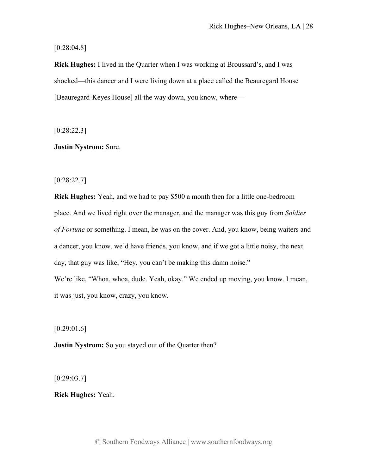[0:28:04.8]

**Rick Hughes:** I lived in the Quarter when I was working at Broussard's, and I was shocked—this dancer and I were living down at a place called the Beauregard House [Beauregard-Keyes House] all the way down, you know, where—

[0:28:22.3]

**Justin Nystrom:** Sure.

[0:28:22.7]

**Rick Hughes:** Yeah, and we had to pay \$500 a month then for a little one-bedroom place. And we lived right over the manager, and the manager was this guy from *Soldier of Fortune* or something. I mean, he was on the cover. And, you know, being waiters and a dancer, you know, we'd have friends, you know, and if we got a little noisy, the next day, that guy was like, "Hey, you can't be making this damn noise." We're like, "Whoa, whoa, dude. Yeah, okay." We ended up moving, you know. I mean, it was just, you know, crazy, you know.

[0:29:01.6]

**Justin Nystrom:** So you stayed out of the Quarter then?

 $[0:29:03.7]$ 

**Rick Hughes:** Yeah.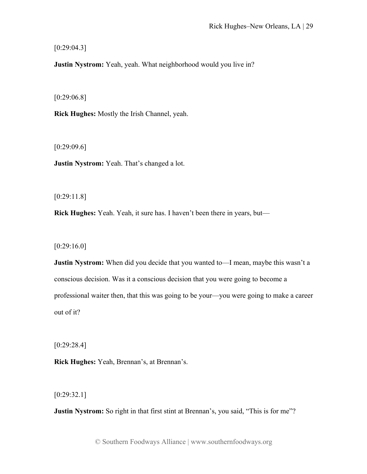[0:29:04.3]

**Justin Nystrom:** Yeah, yeah. What neighborhood would you live in?

[0:29:06.8]

**Rick Hughes:** Mostly the Irish Channel, yeah.

[0:29:09.6]

**Justin Nystrom:** Yeah. That's changed a lot.

[0:29:11.8]

**Rick Hughes:** Yeah. Yeah, it sure has. I haven't been there in years, but—

[0:29:16.0]

**Justin Nystrom:** When did you decide that you wanted to—I mean, maybe this wasn't a conscious decision. Was it a conscious decision that you were going to become a professional waiter then, that this was going to be your—you were going to make a career out of it?

[0:29:28.4]

**Rick Hughes:** Yeah, Brennan's, at Brennan's.

[0:29:32.1]

**Justin Nystrom:** So right in that first stint at Brennan's, you said, "This is for me"?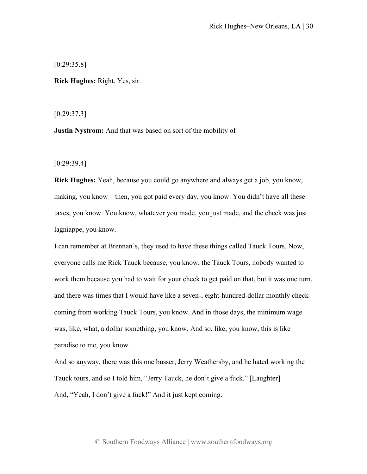[0:29:35.8]

**Rick Hughes:** Right. Yes, sir.

[0:29:37.3]

**Justin Nystrom:** And that was based on sort of the mobility of—

[0:29:39.4]

**Rick Hughes:** Yeah, because you could go anywhere and always get a job, you know, making, you know—then, you got paid every day, you know. You didn't have all these taxes, you know. You know, whatever you made, you just made, and the check was just lagniappe, you know.

I can remember at Brennan's, they used to have these things called Tauck Tours. Now, everyone calls me Rick Tauck because, you know, the Tauck Tours, nobody wanted to work them because you had to wait for your check to get paid on that, but it was one turn, and there was times that I would have like a seven-, eight-hundred-dollar monthly check coming from working Tauck Tours, you know. And in those days, the minimum wage was, like, what, a dollar something, you know. And so, like, you know, this is like paradise to me, you know.

And so anyway, there was this one busser, Jerry Weathersby, and he hated working the Tauck tours, and so I told him, "Jerry Tauck, he don't give a fuck." [Laughter] And, "Yeah, I don't give a fuck!" And it just kept coming.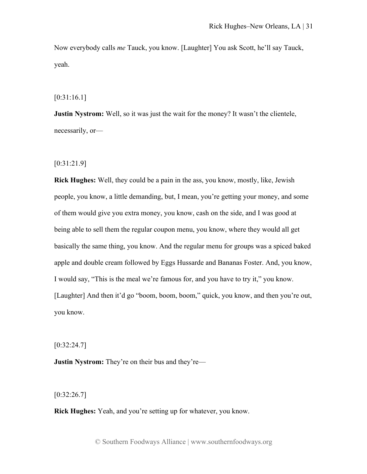Now everybody calls *me* Tauck, you know. [Laughter] You ask Scott, he'll say Tauck, yeah.

[0:31:16.1]

**Justin Nystrom:** Well, so it was just the wait for the money? It wasn't the clientele, necessarily, or—

[0:31:21.9]

**Rick Hughes:** Well, they could be a pain in the ass, you know, mostly, like, Jewish people, you know, a little demanding, but, I mean, you're getting your money, and some of them would give you extra money, you know, cash on the side, and I was good at being able to sell them the regular coupon menu, you know, where they would all get basically the same thing, you know. And the regular menu for groups was a spiced baked apple and double cream followed by Eggs Hussarde and Bananas Foster. And, you know, I would say, "This is the meal we're famous for, and you have to try it," you know. [Laughter] And then it'd go "boom, boom, boom," quick, you know, and then you're out, you know.

 $[0:32:24.7]$ 

**Justin Nystrom:** They're on their bus and they're—

 $[0:32:26.7]$ 

**Rick Hughes:** Yeah, and you're setting up for whatever, you know.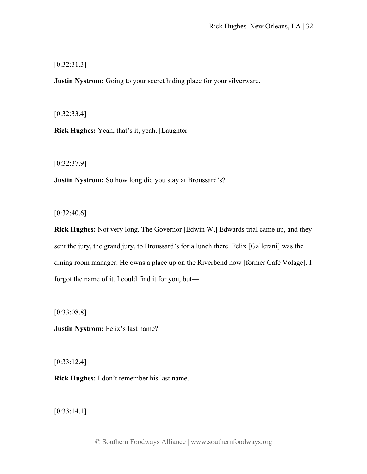[0:32:31.3]

**Justin Nystrom:** Going to your secret hiding place for your silverware.

[0:32:33.4]

**Rick Hughes:** Yeah, that's it, yeah. [Laughter]

[0:32:37.9]

**Justin Nystrom:** So how long did you stay at Broussard's?

 $[0:32:40.6]$ 

**Rick Hughes:** Not very long. The Governor [Edwin W.] Edwards trial came up, and they sent the jury, the grand jury, to Broussard's for a lunch there. Felix [Gallerani] was the dining room manager. He owns a place up on the Riverbend now [former Café Volage]. I forgot the name of it. I could find it for you, but—

[0:33:08.8]

**Justin Nystrom:** Felix's last name?

[0:33:12.4]

**Rick Hughes:** I don't remember his last name.

[0:33:14.1]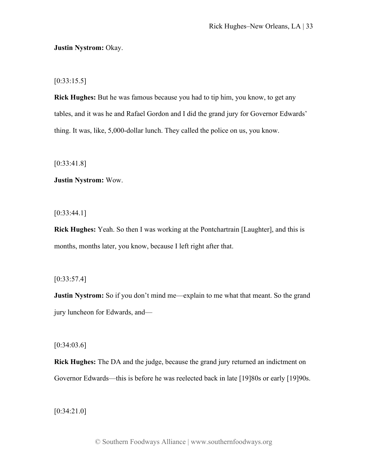## **Justin Nystrom:** Okay.

 $[0:33:15.5]$ 

**Rick Hughes:** But he was famous because you had to tip him, you know, to get any tables, and it was he and Rafael Gordon and I did the grand jury for Governor Edwards' thing. It was, like, 5,000-dollar lunch. They called the police on us, you know.

[0:33:41.8]

**Justin Nystrom:** Wow.

 $[0:33:44.1]$ 

**Rick Hughes:** Yeah. So then I was working at the Pontchartrain [Laughter], and this is months, months later, you know, because I left right after that.

[0:33:57.4]

**Justin Nystrom:** So if you don't mind me—explain to me what that meant. So the grand jury luncheon for Edwards, and—

 $[0:34:03.6]$ 

**Rick Hughes:** The DA and the judge, because the grand jury returned an indictment on Governor Edwards—this is before he was reelected back in late [19]80s or early [19]90s.

[0:34:21.0]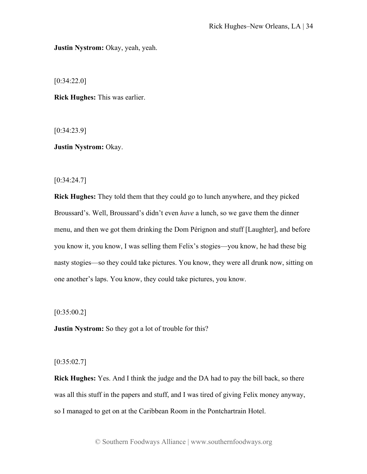**Justin Nystrom:** Okay, yeah, yeah.

[0:34:22.0]

**Rick Hughes:** This was earlier.

[0:34:23.9]

**Justin Nystrom:** Okay.

[0:34:24.7]

**Rick Hughes:** They told them that they could go to lunch anywhere, and they picked Broussard's. Well, Broussard's didn't even *have* a lunch, so we gave them the dinner menu, and then we got them drinking the Dom Pérignon and stuff [Laughter], and before you know it, you know, I was selling them Felix's stogies—you know, he had these big nasty stogies—so they could take pictures. You know, they were all drunk now, sitting on one another's laps. You know, they could take pictures, you know.

 $[0:35:00.2]$ 

**Justin Nystrom:** So they got a lot of trouble for this?

 $[0:35:02.7]$ 

**Rick Hughes:** Yes. And I think the judge and the DA had to pay the bill back, so there was all this stuff in the papers and stuff, and I was tired of giving Felix money anyway, so I managed to get on at the Caribbean Room in the Pontchartrain Hotel.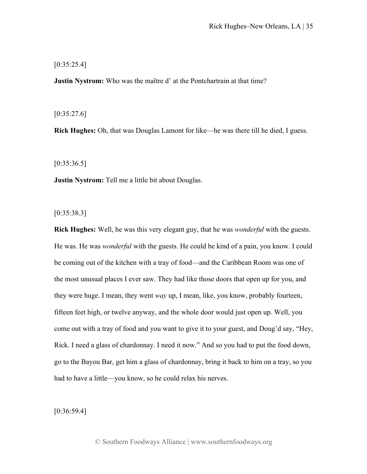$[0:35:25.4]$ 

**Justin Nystrom:** Who was the maître d' at the Pontchartrain at that time?

 $[0:35:27.6]$ 

**Rick Hughes:** Oh, that was Douglas Lamont for like—he was there till he died, I guess.

 $[0:35:36.5]$ 

**Justin Nystrom:** Tell me a little bit about Douglas.

[0:35:38.3]

**Rick Hughes:** Well, he was this very elegant guy, that he was *wonderful* with the guests. He was. He was *wonderful* with the guests. He could be kind of a pain, you know. I could be coming out of the kitchen with a tray of food—and the Caribbean Room was one of the most unusual places I ever saw. They had like those doors that open up for you, and they were huge. I mean, they went *way* up, I mean, like, you know, probably fourteen, fifteen feet high, or twelve anyway, and the whole door would just open up. Well, you come out with a tray of food and you want to give it to your guest, and Doug'd say, "Hey, Rick. I need a glass of chardonnay. I need it now." And so you had to put the food down, go to the Bayou Bar, get him a glass of chardonnay, bring it back to him on a tray, so you had to have a little—you know, so he could relax his nerves.

[0:36:59.4]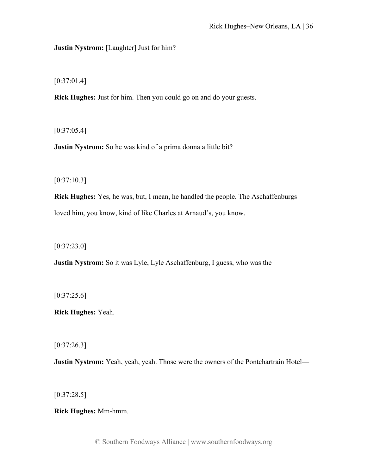**Justin Nystrom:** [Laughter] Just for him?

[0:37:01.4]

**Rick Hughes:** Just for him. Then you could go on and do your guests.

 $[0:37:05.4]$ 

**Justin Nystrom:** So he was kind of a prima donna a little bit?

 $[0:37:10.3]$ 

**Rick Hughes:** Yes, he was, but, I mean, he handled the people. The Aschaffenburgs loved him, you know, kind of like Charles at Arnaud's, you know.

[0:37:23.0]

**Justin Nystrom:** So it was Lyle, Lyle Aschaffenburg, I guess, who was the—

 $[0:37:25.6]$ 

**Rick Hughes:** Yeah.

[0:37:26.3]

**Justin Nystrom:** Yeah, yeah, yeah. Those were the owners of the Pontchartrain Hotel—

 $[0:37:28.5]$ 

**Rick Hughes:** Mm-hmm.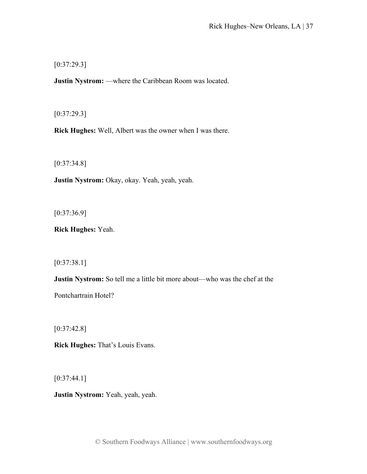[0:37:29.3]

**Justin Nystrom:** —where the Caribbean Room was located.

[0:37:29.3]

**Rick Hughes:** Well, Albert was the owner when I was there.

[0:37:34.8]

**Justin Nystrom:** Okay, okay. Yeah, yeah, yeah.

[0:37:36.9]

**Rick Hughes:** Yeah.

[0:37:38.1]

**Justin Nystrom:** So tell me a little bit more about—who was the chef at the Pontchartrain Hotel?

[0:37:42.8]

**Rick Hughes:** That's Louis Evans.

 $[0:37:44.1]$ 

**Justin Nystrom:** Yeah, yeah, yeah.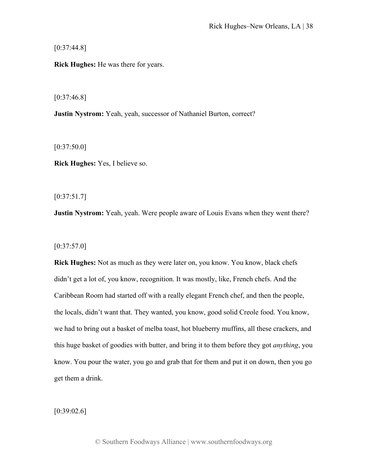$[0:37:44.8]$ 

**Rick Hughes:** He was there for years.

 $[0:37:46.8]$ 

**Justin Nystrom:** Yeah, yeah, successor of Nathaniel Burton, correct?

 $[0:37:50.0]$ 

**Rick Hughes:** Yes, I believe so.

[0:37:51.7]

**Justin Nystrom:** Yeah, yeah. Were people aware of Louis Evans when they went there?

 $[0:37:57.0]$ 

**Rick Hughes:** Not as much as they were later on, you know. You know, black chefs didn't get a lot of, you know, recognition. It was mostly, like, French chefs. And the Caribbean Room had started off with a really elegant French chef, and then the people, the locals, didn't want that. They wanted, you know, good solid Creole food. You know, we had to bring out a basket of melba toast, hot blueberry muffins, all these crackers, and this huge basket of goodies with butter, and bring it to them before they got *anything*, you know. You pour the water, you go and grab that for them and put it on down, then you go get them a drink.

[0:39:02.6]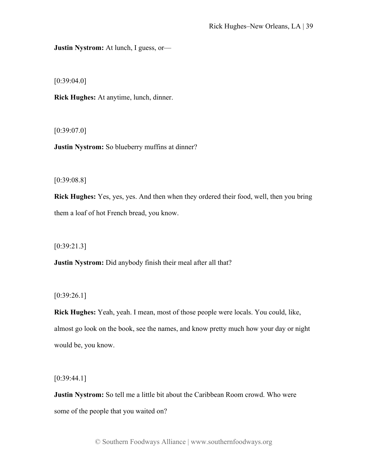**Justin Nystrom:** At lunch, I guess, or—

[0:39:04.0]

**Rick Hughes:** At anytime, lunch, dinner.

[0:39:07.0]

**Justin Nystrom:** So blueberry muffins at dinner?

[0:39:08.8]

**Rick Hughes:** Yes, yes, yes. And then when they ordered their food, well, then you bring them a loaf of hot French bread, you know.

[0:39:21.3]

**Justin Nystrom:** Did anybody finish their meal after all that?

[0:39:26.1]

**Rick Hughes:** Yeah, yeah. I mean, most of those people were locals. You could, like, almost go look on the book, see the names, and know pretty much how your day or night would be, you know.

[0:39:44.1]

**Justin Nystrom:** So tell me a little bit about the Caribbean Room crowd. Who were some of the people that you waited on?

© Southern Foodways Alliance | www.southernfoodways.org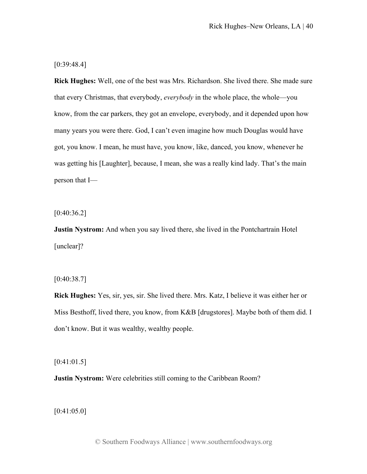[0:39:48.4]

**Rick Hughes:** Well, one of the best was Mrs. Richardson. She lived there. She made sure that every Christmas, that everybody, *everybody* in the whole place, the whole—you know, from the car parkers, they got an envelope, everybody, and it depended upon how many years you were there. God, I can't even imagine how much Douglas would have got, you know. I mean, he must have, you know, like, danced, you know, whenever he was getting his [Laughter], because, I mean, she was a really kind lady. That's the main person that I—

 $[0:40:36.2]$ 

**Justin Nystrom:** And when you say lived there, she lived in the Pontchartrain Hotel [unclear]?

 $[0:40:38.7]$ 

**Rick Hughes:** Yes, sir, yes, sir. She lived there. Mrs. Katz, I believe it was either her or Miss Besthoff, lived there, you know, from K&B [drugstores]. Maybe both of them did. I don't know. But it was wealthy, wealthy people.

 $[0:41:01.5]$ 

**Justin Nystrom:** Were celebrities still coming to the Caribbean Room?

[0:41:05.0]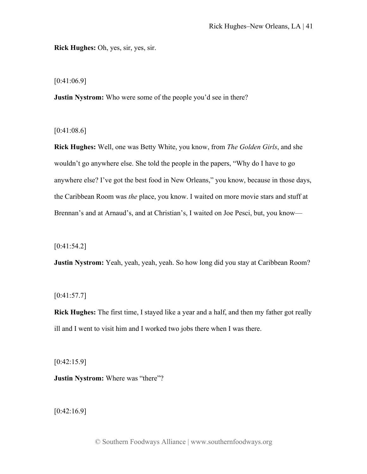**Rick Hughes:** Oh, yes, sir, yes, sir.

[0:41:06.9]

**Justin Nystrom:** Who were some of the people you'd see in there?

[0:41:08.6]

**Rick Hughes:** Well, one was Betty White, you know, from *The Golden Girls*, and she wouldn't go anywhere else. She told the people in the papers, "Why do I have to go anywhere else? I've got the best food in New Orleans," you know, because in those days, the Caribbean Room was *the* place, you know. I waited on more movie stars and stuff at Brennan's and at Arnaud's, and at Christian's, I waited on Joe Pesci, but, you know—

[0:41:54.2]

**Justin Nystrom:** Yeah, yeah, yeah, yeah. So how long did you stay at Caribbean Room?

 $[0:41:57.7]$ 

**Rick Hughes:** The first time, I stayed like a year and a half, and then my father got really ill and I went to visit him and I worked two jobs there when I was there.

 $[0:42:15.9]$ 

**Justin Nystrom:** Where was "there"?

[0:42:16.9]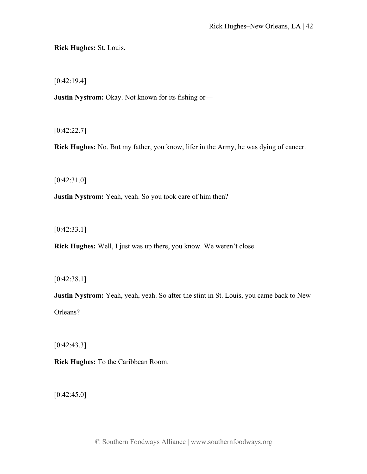**Rick Hughes:** St. Louis.

[0:42:19.4]

**Justin Nystrom:** Okay. Not known for its fishing or—

[0:42:22.7]

**Rick Hughes:** No. But my father, you know, lifer in the Army, he was dying of cancer.

[0:42:31.0]

**Justin Nystrom:** Yeah, yeah. So you took care of him then?

[0:42:33.1]

**Rick Hughes:** Well, I just was up there, you know. We weren't close.

[0:42:38.1]

**Justin Nystrom:** Yeah, yeah, yeah. So after the stint in St. Louis, you came back to New Orleans?

[0:42:43.3]

**Rick Hughes:** To the Caribbean Room.

 $[0:42:45.0]$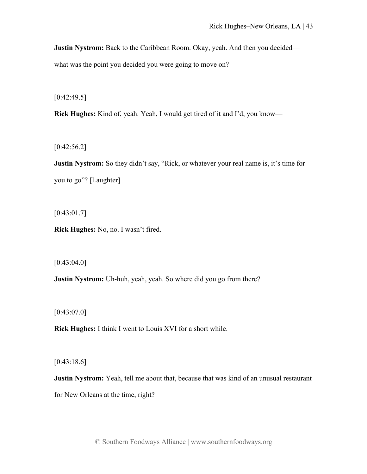**Justin Nystrom:** Back to the Caribbean Room. Okay, yeah. And then you decided—

what was the point you decided you were going to move on?

 $[0:42:49.5]$ 

**Rick Hughes:** Kind of, yeah. Yeah, I would get tired of it and I'd, you know—

 $[0:42:56.2]$ 

**Justin Nystrom:** So they didn't say, "Rick, or whatever your real name is, it's time for you to go"? [Laughter]

 $[0:43:01.7]$ 

**Rick Hughes:** No, no. I wasn't fired.

 $[0:43:04.0]$ 

**Justin Nystrom:** Uh-huh, yeah, yeah. So where did you go from there?

 $[0:43:07.0]$ 

**Rick Hughes:** I think I went to Louis XVI for a short while.

[0:43:18.6]

**Justin Nystrom:** Yeah, tell me about that, because that was kind of an unusual restaurant for New Orleans at the time, right?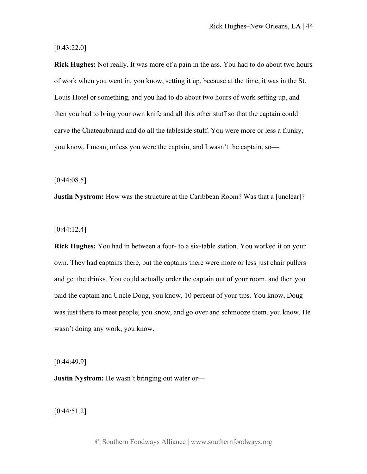[0:43:22.0]

**Rick Hughes:** Not really. It was more of a pain in the ass. You had to do about two hours of work when you went in, you know, setting it up, because at the time, it was in the St. Louis Hotel or something, and you had to do about two hours of work setting up, and then you had to bring your own knife and all this other stuff so that the captain could carve the Chateaubriand and do all the tableside stuff. You were more or less a flunky, you know, I mean, unless you were the captain, and I wasn't the captain, so—

 $[0:44:08.5]$ 

**Justin Nystrom:** How was the structure at the Caribbean Room? Was that a [unclear]?

[0:44:12.4]

**Rick Hughes:** You had in between a four- to a six-table station. You worked it on your own. They had captains there, but the captains there were more or less just chair pullers and get the drinks. You could actually order the captain out of your room, and then you paid the captain and Uncle Doug, you know, 10 percent of your tips. You know, Doug was just there to meet people, you know, and go over and schmooze them, you know. He wasn't doing any work, you know.

[0:44:49.9]

**Justin Nystrom:** He wasn't bringing out water or—

[0:44:51.2]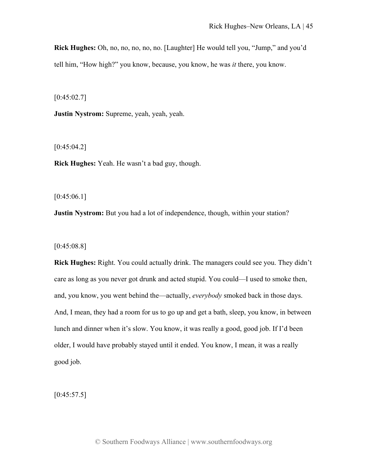**Rick Hughes:** Oh, no, no, no, no, no. [Laughter] He would tell you, "Jump," and you'd tell him, "How high?" you know, because, you know, he was *it* there, you know.

 $[0:45:02.7]$ 

**Justin Nystrom:** Supreme, yeah, yeah, yeah.

 $[0:45:04.2]$ 

**Rick Hughes:** Yeah. He wasn't a bad guy, though.

 $[0:45:06.1]$ 

**Justin Nystrom:** But you had a lot of independence, though, within your station?

[0:45:08.8]

**Rick Hughes:** Right. You could actually drink. The managers could see you. They didn't care as long as you never got drunk and acted stupid. You could—I used to smoke then, and, you know, you went behind the—actually, *everybody* smoked back in those days. And, I mean, they had a room for us to go up and get a bath, sleep, you know, in between lunch and dinner when it's slow. You know, it was really a good, good job. If I'd been older, I would have probably stayed until it ended. You know, I mean, it was a really good job.

 $[0:45:57.5]$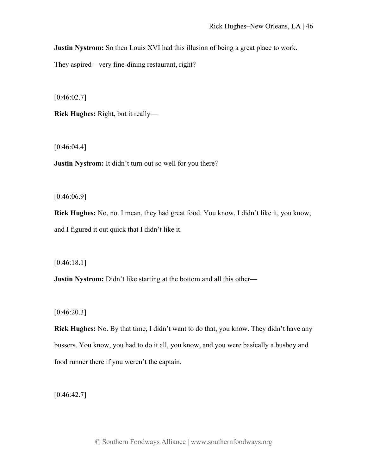**Justin Nystrom:** So then Louis XVI had this illusion of being a great place to work.

They aspired—very fine-dining restaurant, right?

 $[0:46:02.7]$ 

**Rick Hughes:** Right, but it really—

 $[0:46:04.4]$ 

**Justin Nystrom:** It didn't turn out so well for you there?

[0:46:06.9]

**Rick Hughes:** No, no. I mean, they had great food. You know, I didn't like it, you know, and I figured it out quick that I didn't like it.

[0:46:18.1]

**Justin Nystrom:** Didn't like starting at the bottom and all this other—

 $[0:46:20.3]$ 

**Rick Hughes:** No. By that time, I didn't want to do that, you know. They didn't have any bussers. You know, you had to do it all, you know, and you were basically a busboy and food runner there if you weren't the captain.

 $[0:46:42.7]$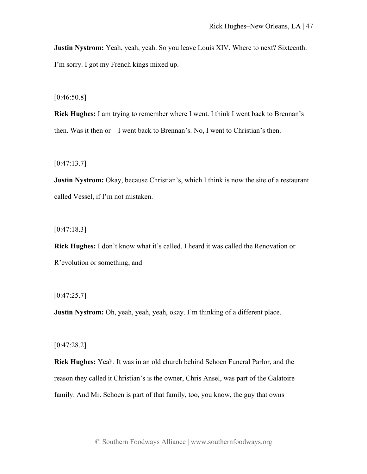**Justin Nystrom:** Yeah, yeah, yeah. So you leave Louis XIV. Where to next? Sixteenth. I'm sorry. I got my French kings mixed up.

[0:46:50.8]

**Rick Hughes:** I am trying to remember where I went. I think I went back to Brennan's then. Was it then or—I went back to Brennan's. No, I went to Christian's then.

 $[0:47:13.7]$ 

**Justin Nystrom:** Okay, because Christian's, which I think is now the site of a restaurant called Vessel, if I'm not mistaken.

 $[0:47:18.3]$ 

**Rick Hughes:** I don't know what it's called. I heard it was called the Renovation or R'evolution or something, and—

 $[0:47:25.7]$ 

**Justin Nystrom:** Oh, yeah, yeah, yeah, okay. I'm thinking of a different place.

[0:47:28.2]

**Rick Hughes:** Yeah. It was in an old church behind Schoen Funeral Parlor, and the reason they called it Christian's is the owner, Chris Ansel, was part of the Galatoire family. And Mr. Schoen is part of that family, too, you know, the guy that owns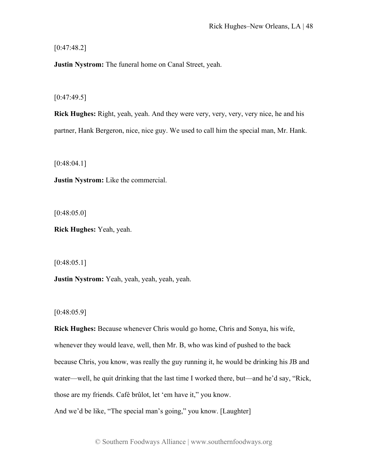[0:47:48.2]

**Justin Nystrom:** The funeral home on Canal Street, yeah.

 $[0:47:49.5]$ 

**Rick Hughes:** Right, yeah, yeah. And they were very, very, very, very nice, he and his partner, Hank Bergeron, nice, nice guy. We used to call him the special man, Mr. Hank.

[0:48:04.1]

**Justin Nystrom:** Like the commercial.

 $[0:48:05.0]$ 

**Rick Hughes:** Yeah, yeah.

 $[0:48:05.1]$ 

**Justin Nystrom:** Yeah, yeah, yeah, yeah, yeah.

 $[0:48:05.9]$ 

**Rick Hughes:** Because whenever Chris would go home, Chris and Sonya, his wife, whenever they would leave, well, then Mr. B, who was kind of pushed to the back because Chris, you know, was really the guy running it, he would be drinking his JB and water—well, he quit drinking that the last time I worked there, but—and he'd say, "Rick, those are my friends. Café brûlot, let 'em have it," you know. And we'd be like, "The special man's going," you know. [Laughter]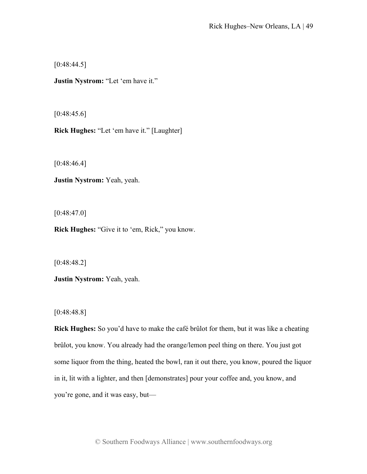$[0:48:44.5]$ 

**Justin Nystrom:** "Let 'em have it."

 $[0:48:45.6]$ 

**Rick Hughes:** "Let 'em have it." [Laughter]

[0:48:46.4]

**Justin Nystrom:** Yeah, yeah.

 $[0:48:47.0]$ 

**Rick Hughes:** "Give it to 'em, Rick," you know.

[0:48:48.2]

**Justin Nystrom:** Yeah, yeah.

[0:48:48.8]

**Rick Hughes:** So you'd have to make the café brûlot for them, but it was like a cheating brûlot, you know. You already had the orange/lemon peel thing on there. You just got some liquor from the thing, heated the bowl, ran it out there, you know, poured the liquor in it, lit with a lighter, and then [demonstrates] pour your coffee and, you know, and you're gone, and it was easy, but—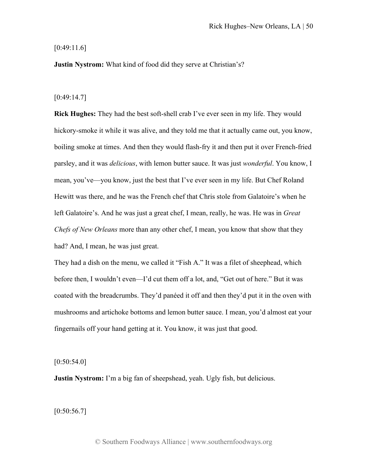## [0:49:11.6]

**Justin Nystrom:** What kind of food did they serve at Christian's?

### [0:49:14.7]

**Rick Hughes:** They had the best soft-shell crab I've ever seen in my life. They would hickory-smoke it while it was alive, and they told me that it actually came out, you know, boiling smoke at times. And then they would flash-fry it and then put it over French-fried parsley, and it was *delicious*, with lemon butter sauce. It was just *wonderful*. You know, I mean, you've—you know, just the best that I've ever seen in my life. But Chef Roland Hewitt was there, and he was the French chef that Chris stole from Galatoire's when he left Galatoire's. And he was just a great chef, I mean, really, he was. He was in *Great Chefs of New Orleans* more than any other chef, I mean, you know that show that they had? And, I mean, he was just great.

They had a dish on the menu, we called it "Fish A." It was a filet of sheephead, which before then, I wouldn't even—I'd cut them off a lot, and, "Get out of here." But it was coated with the breadcrumbs. They'd panéed it off and then they'd put it in the oven with mushrooms and artichoke bottoms and lemon butter sauce. I mean, you'd almost eat your fingernails off your hand getting at it. You know, it was just that good.

# $[0:50:54.0]$

**Justin Nystrom:** I'm a big fan of sheepshead, yeah. Ugly fish, but delicious.

 $[0:50:56.7]$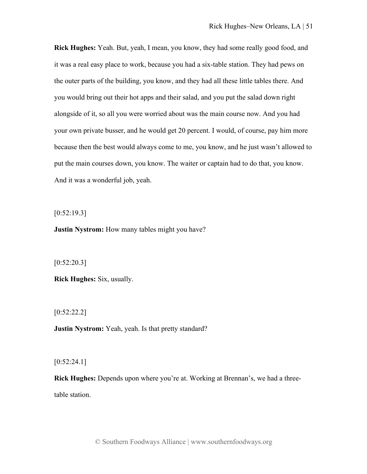**Rick Hughes:** Yeah. But, yeah, I mean, you know, they had some really good food, and it was a real easy place to work, because you had a six-table station. They had pews on the outer parts of the building, you know, and they had all these little tables there. And you would bring out their hot apps and their salad, and you put the salad down right alongside of it, so all you were worried about was the main course now. And you had your own private busser, and he would get 20 percent. I would, of course, pay him more because then the best would always come to me, you know, and he just wasn't allowed to put the main courses down, you know. The waiter or captain had to do that, you know. And it was a wonderful job, yeah.

 $[0:52:19.3]$ 

**Justin Nystrom:** How many tables might you have?

 $[0:52:20.3]$ 

**Rick Hughes:** Six, usually.

[0:52:22.2]

**Justin Nystrom:** Yeah, yeah. Is that pretty standard?

 $[0:52:24.1]$ 

**Rick Hughes:** Depends upon where you're at. Working at Brennan's, we had a threetable station.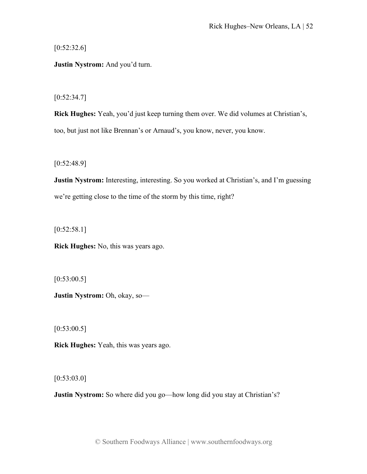$[0:52:32.6]$ 

**Justin Nystrom:** And you'd turn.

 $[0:52:34.7]$ 

**Rick Hughes:** Yeah, you'd just keep turning them over. We did volumes at Christian's, too, but just not like Brennan's or Arnaud's, you know, never, you know.

[0:52:48.9]

**Justin Nystrom:** Interesting, interesting. So you worked at Christian's, and I'm guessing we're getting close to the time of the storm by this time, right?

 $[0:52:58.1]$ 

**Rick Hughes:** No, this was years ago.

 $[0:53:00.5]$ 

**Justin Nystrom:** Oh, okay, so—

 $[0:53:00.5]$ 

**Rick Hughes:** Yeah, this was years ago.

[0:53:03.0]

**Justin Nystrom:** So where did you go—how long did you stay at Christian's?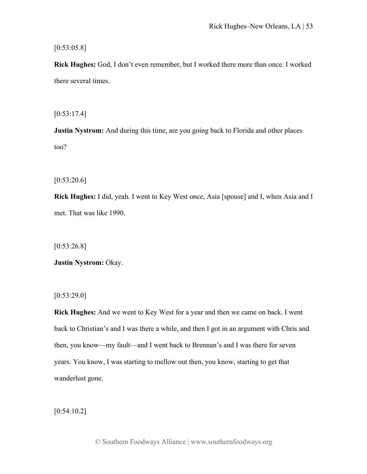$[0:53:05.8]$ 

**Rick Hughes:** God, I don't even remember, but I worked there more than once. I worked there several times.

 $[0:53:17.4]$ 

**Justin Nystrom:** And during this time, are you going back to Florida and other places too?

 $[0:53:20.6]$ 

**Rick Hughes:** I did, yeah. I went to Key West once, Asia [spouse] and I, when Asia and I met. That was like 1990.

[0:53:26.8]

**Justin Nystrom:** Okay.

 $[0:53:29.0]$ 

**Rick Hughes:** And we went to Key West for a year and then we came on back. I went back to Christian's and I was there a while, and then I got in an argument with Chris and then, you know—my fault—and I went back to Brennan's and I was there for seven years. You know, I was starting to mellow out then, you know, starting to get that wanderlust gone.

 $[0:54:10.2]$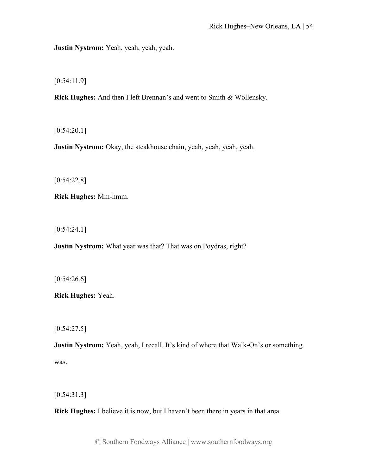**Justin Nystrom:** Yeah, yeah, yeah, yeah.

[0:54:11.9]

**Rick Hughes:** And then I left Brennan's and went to Smith & Wollensky.

 $[0:54:20.1]$ 

**Justin Nystrom:** Okay, the steakhouse chain, yeah, yeah, yeah, yeah.

[0:54:22.8]

**Rick Hughes:** Mm-hmm.

[0:54:24.1]

**Justin Nystrom:** What year was that? That was on Poydras, right?

 $[0:54:26.6]$ 

**Rick Hughes:** Yeah.

 $[0:54:27.5]$ 

**Justin Nystrom:** Yeah, yeah, I recall. It's kind of where that Walk-On's or something was.

[0:54:31.3]

**Rick Hughes:** I believe it is now, but I haven't been there in years in that area.

© Southern Foodways Alliance | www.southernfoodways.org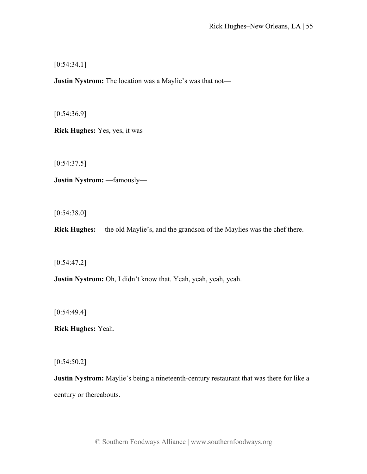[0:54:34.1]

**Justin Nystrom:** The location was a Maylie's was that not—

[0:54:36.9]

**Rick Hughes:** Yes, yes, it was—

 $[0:54:37.5]$ 

**Justin Nystrom:** —famously—

[0:54:38.0]

**Rick Hughes:** —the old Maylie's, and the grandson of the Maylies was the chef there.

[0:54:47.2]

**Justin Nystrom:** Oh, I didn't know that. Yeah, yeah, yeah, yeah.

[0:54:49.4]

**Rick Hughes:** Yeah.

 $[0:54:50.2]$ 

**Justin Nystrom:** Maylie's being a nineteenth-century restaurant that was there for like a century or thereabouts.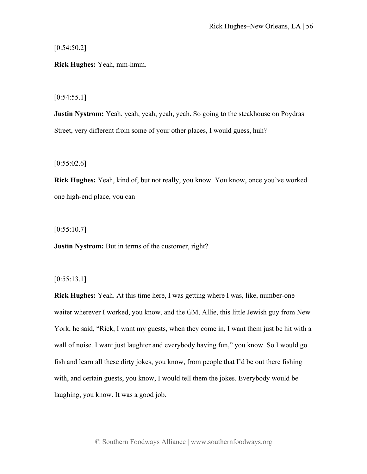$[0:54:50.2]$ 

**Rick Hughes:** Yeah, mm-hmm.

 $[0:54:55.1]$ 

**Justin Nystrom:** Yeah, yeah, yeah, yeah, yeah. So going to the steakhouse on Poydras Street, very different from some of your other places, I would guess, huh?

 $[0:55:02.6]$ 

**Rick Hughes:** Yeah, kind of, but not really, you know. You know, once you've worked one high-end place, you can—

 $[0:55:10.7]$ 

**Justin Nystrom:** But in terms of the customer, right?

 $[0:55:13.1]$ 

**Rick Hughes:** Yeah. At this time here, I was getting where I was, like, number-one waiter wherever I worked, you know, and the GM, Allie, this little Jewish guy from New York, he said, "Rick, I want my guests, when they come in, I want them just be hit with a wall of noise. I want just laughter and everybody having fun," you know. So I would go fish and learn all these dirty jokes, you know, from people that I'd be out there fishing with, and certain guests, you know, I would tell them the jokes. Everybody would be laughing, you know. It was a good job.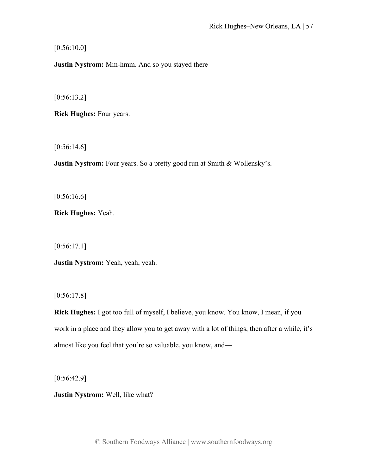$[0:56:10.0]$ 

**Justin Nystrom:** Mm-hmm. And so you stayed there—

[0:56:13.2]

**Rick Hughes:** Four years.

 $[0:56:14.6]$ 

**Justin Nystrom:** Four years. So a pretty good run at Smith & Wollensky's.

[0:56:16.6]

**Rick Hughes:** Yeah.

[0:56:17.1]

**Justin Nystrom:** Yeah, yeah, yeah.

[0:56:17.8]

**Rick Hughes:** I got too full of myself, I believe, you know. You know, I mean, if you work in a place and they allow you to get away with a lot of things, then after a while, it's almost like you feel that you're so valuable, you know, and—

[0:56:42.9]

**Justin Nystrom:** Well, like what?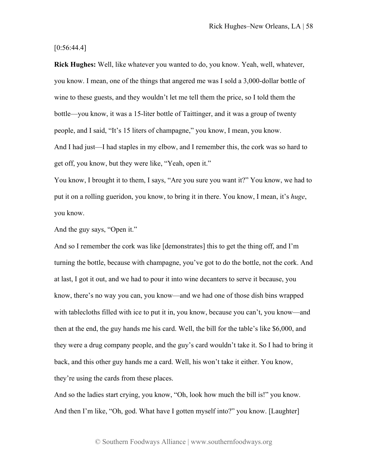$[0:56:44.4]$ 

**Rick Hughes:** Well, like whatever you wanted to do, you know. Yeah, well, whatever, you know. I mean, one of the things that angered me was I sold a 3,000-dollar bottle of wine to these guests, and they wouldn't let me tell them the price, so I told them the bottle—you know, it was a 15-liter bottle of Taittinger, and it was a group of twenty people, and I said, "It's 15 liters of champagne," you know, I mean, you know. And I had just—I had staples in my elbow, and I remember this, the cork was so hard to get off, you know, but they were like, "Yeah, open it."

You know, I brought it to them, I says, "Are you sure you want it?" You know, we had to put it on a rolling gueridon, you know, to bring it in there. You know, I mean, it's *huge*, you know.

And the guy says, "Open it."

And so I remember the cork was like [demonstrates] this to get the thing off, and I'm turning the bottle, because with champagne, you've got to do the bottle, not the cork. And at last, I got it out, and we had to pour it into wine decanters to serve it because, you know, there's no way you can, you know—and we had one of those dish bins wrapped with tablecloths filled with ice to put it in, you know, because you can't, you know—and then at the end, the guy hands me his card. Well, the bill for the table's like \$6,000, and they were a drug company people, and the guy's card wouldn't take it. So I had to bring it back, and this other guy hands me a card. Well, his won't take it either. You know, they're using the cards from these places.

And so the ladies start crying, you know, "Oh, look how much the bill is!" you know. And then I'm like, "Oh, god. What have I gotten myself into?" you know. [Laughter]

© Southern Foodways Alliance | www.southernfoodways.org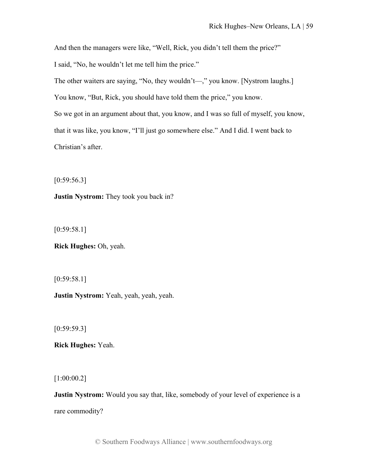And then the managers were like, "Well, Rick, you didn't tell them the price?"

I said, "No, he wouldn't let me tell him the price."

The other waiters are saying, "No, they wouldn't—," you know. [Nystrom laughs.]

You know, "But, Rick, you should have told them the price," you know.

So we got in an argument about that, you know, and I was so full of myself, you know,

that it was like, you know, "I'll just go somewhere else." And I did. I went back to

Christian's after.

 $[0:59:56.3]$ 

**Justin Nystrom:** They took you back in?

 $[0:59:58.1]$ 

**Rick Hughes:** Oh, yeah.

[0:59:58.1]

**Justin Nystrom:** Yeah, yeah, yeah, yeah.

 $[0:59:59.3]$ 

**Rick Hughes:** Yeah.

[1:00:00.2]

**Justin Nystrom:** Would you say that, like, somebody of your level of experience is a rare commodity?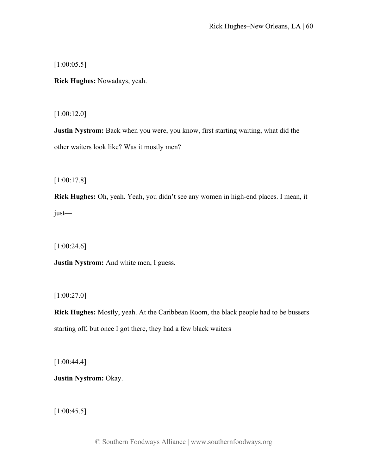[1:00:05.5]

**Rick Hughes:** Nowadays, yeah.

[1:00:12.0]

**Justin Nystrom:** Back when you were, you know, first starting waiting, what did the other waiters look like? Was it mostly men?

[1:00:17.8]

**Rick Hughes:** Oh, yeah. Yeah, you didn't see any women in high-end places. I mean, it just—

[1:00:24.6]

**Justin Nystrom:** And white men, I guess.

[1:00:27.0]

**Rick Hughes:** Mostly, yeah. At the Caribbean Room, the black people had to be bussers starting off, but once I got there, they had a few black waiters—

[1:00:44.4]

**Justin Nystrom:** Okay.

[1:00:45.5]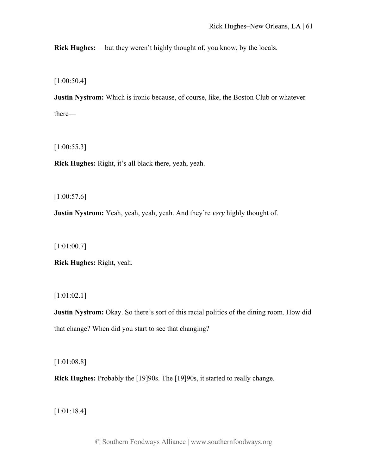**Rick Hughes:** —but they weren't highly thought of, you know, by the locals.

[1:00:50.4]

**Justin Nystrom:** Which is ironic because, of course, like, the Boston Club or whatever there—

[1:00:55.3]

**Rick Hughes:** Right, it's all black there, yeah, yeah.

 $[1:00:57.6]$ 

**Justin Nystrom:** Yeah, yeah, yeah, yeah. And they're *very* highly thought of.

[1:01:00.7]

**Rick Hughes:** Right, yeah.

[1:01:02.1]

**Justin Nystrom:** Okay. So there's sort of this racial politics of the dining room. How did that change? When did you start to see that changing?

[1:01:08.8]

**Rick Hughes:** Probably the [19]90s. The [19]90s, it started to really change.

[1:01:18.4]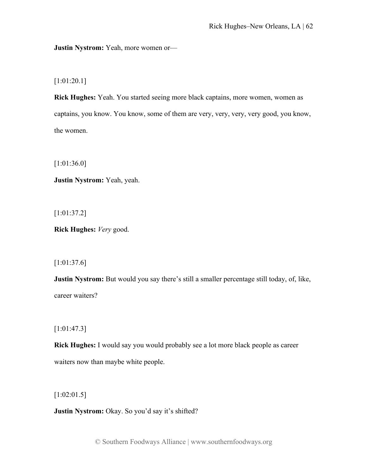**Justin Nystrom:** Yeah, more women or—

[1:01:20.1]

**Rick Hughes:** Yeah. You started seeing more black captains, more women, women as captains, you know. You know, some of them are very, very, very, very good, you know, the women.

[1:01:36.0]

**Justin Nystrom:** Yeah, yeah.

[1:01:37.2]

**Rick Hughes:** *Very* good.

[1:01:37.6]

**Justin Nystrom:** But would you say there's still a smaller percentage still today, of, like, career waiters?

[1:01:47.3]

**Rick Hughes:** I would say you would probably see a lot more black people as career waiters now than maybe white people.

[1:02:01.5]

**Justin Nystrom:** Okay. So you'd say it's shifted?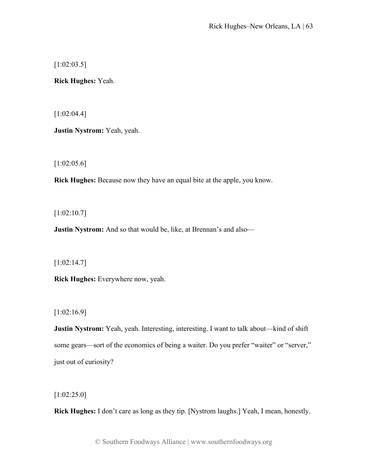[1:02:03.5]

**Rick Hughes:** Yeah.

[1:02:04.4]

**Justin Nystrom:** Yeah, yeah.

[1:02:05.6]

**Rick Hughes:** Because now they have an equal bite at the apple, you know.

[1:02:10.7]

**Justin Nystrom:** And so that would be, like, at Brennan's and also—

[1:02:14.7]

**Rick Hughes:** Everywhere now, yeah.

[1:02:16.9]

**Justin Nystrom:** Yeah, yeah. Interesting, interesting. I want to talk about—kind of shift some gears—sort of the economics of being a waiter. Do you prefer "waiter" or "server," just out of curiosity?

[1:02:25.0]

**Rick Hughes:** I don't care as long as they tip. [Nystrom laughs.] Yeah, I mean, honestly.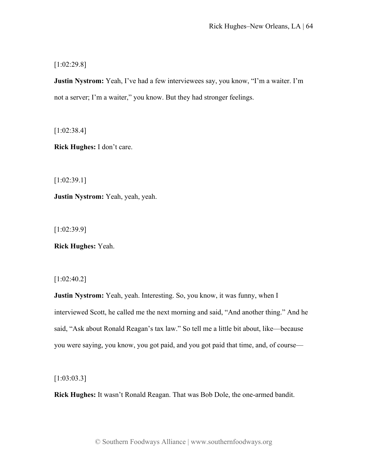[1:02:29.8]

**Justin Nystrom:** Yeah, I've had a few interviewees say, you know, "I'm a waiter. I'm not a server; I'm a waiter," you know. But they had stronger feelings.

[1:02:38.4]

**Rick Hughes:** I don't care.

[1:02:39.1]

**Justin Nystrom:** Yeah, yeah, yeah.

[1:02:39.9]

**Rick Hughes:** Yeah.

[1:02:40.2]

**Justin Nystrom:** Yeah, yeah. Interesting. So, you know, it was funny, when I interviewed Scott, he called me the next morning and said, "And another thing." And he said, "Ask about Ronald Reagan's tax law." So tell me a little bit about, like—because you were saying, you know, you got paid, and you got paid that time, and, of course—

[1:03:03.3]

**Rick Hughes:** It wasn't Ronald Reagan. That was Bob Dole, the one-armed bandit.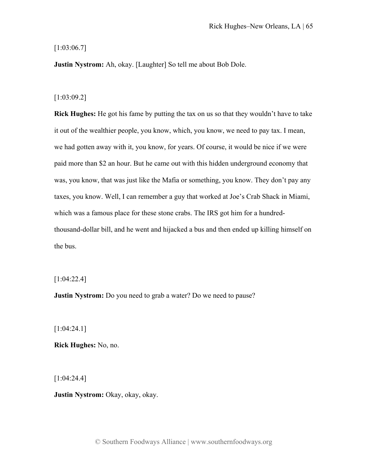## [1:03:06.7]

**Justin Nystrom:** Ah, okay. [Laughter] So tell me about Bob Dole.

### [1:03:09.2]

**Rick Hughes:** He got his fame by putting the tax on us so that they wouldn't have to take it out of the wealthier people, you know, which, you know, we need to pay tax. I mean, we had gotten away with it, you know, for years. Of course, it would be nice if we were paid more than \$2 an hour. But he came out with this hidden underground economy that was, you know, that was just like the Mafia or something, you know. They don't pay any taxes, you know. Well, I can remember a guy that worked at Joe's Crab Shack in Miami, which was a famous place for these stone crabs. The IRS got him for a hundredthousand-dollar bill, and he went and hijacked a bus and then ended up killing himself on the bus.

[1:04:22.4]

**Justin Nystrom:** Do you need to grab a water? Do we need to pause?

[1:04:24.1]

**Rick Hughes:** No, no.

[1:04:24.4]

**Justin Nystrom:** Okay, okay, okay.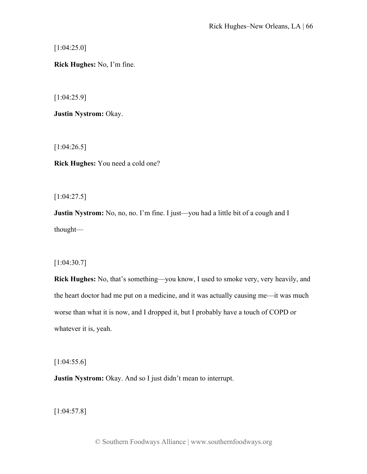[1:04:25.0]

**Rick Hughes:** No, I'm fine.

[1:04:25.9]

**Justin Nystrom:** Okay.

[1:04:26.5]

**Rick Hughes:** You need a cold one?

[1:04:27.5]

**Justin Nystrom:** No, no, no. I'm fine. I just—you had a little bit of a cough and I thought—

# [1:04:30.7]

**Rick Hughes:** No, that's something—you know, I used to smoke very, very heavily, and the heart doctor had me put on a medicine, and it was actually causing me—it was much worse than what it is now, and I dropped it, but I probably have a touch of COPD or whatever it is, yeah.

[1:04:55.6]

**Justin Nystrom:** Okay. And so I just didn't mean to interrupt.

[1:04:57.8]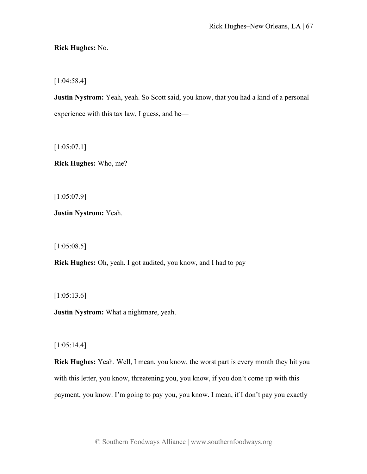**Rick Hughes:** No.

[1:04:58.4]

**Justin Nystrom:** Yeah, yeah. So Scott said, you know, that you had a kind of a personal experience with this tax law, I guess, and he—

[1:05:07.1]

**Rick Hughes:** Who, me?

[1:05:07.9]

**Justin Nystrom:** Yeah.

[1:05:08.5]

**Rick Hughes:** Oh, yeah. I got audited, you know, and I had to pay—

[1:05:13.6]

**Justin Nystrom:** What a nightmare, yeah.

[1:05:14.4]

**Rick Hughes:** Yeah. Well, I mean, you know, the worst part is every month they hit you with this letter, you know, threatening you, you know, if you don't come up with this payment, you know. I'm going to pay you, you know. I mean, if I don't pay you exactly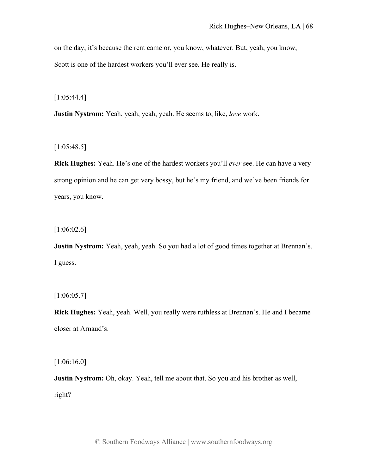on the day, it's because the rent came or, you know, whatever. But, yeah, you know, Scott is one of the hardest workers you'll ever see. He really is.

[1:05:44.4]

**Justin Nystrom:** Yeah, yeah, yeah, yeah. He seems to, like, *love* work.

[1:05:48.5]

**Rick Hughes:** Yeah. He's one of the hardest workers you'll *ever* see. He can have a very strong opinion and he can get very bossy, but he's my friend, and we've been friends for years, you know.

[1:06:02.6]

**Justin Nystrom:** Yeah, yeah, yeah. So you had a lot of good times together at Brennan's, I guess.

[1:06:05.7]

**Rick Hughes:** Yeah, yeah. Well, you really were ruthless at Brennan's. He and I became closer at Arnaud's.

[1:06:16.0]

**Justin Nystrom:** Oh, okay. Yeah, tell me about that. So you and his brother as well, right?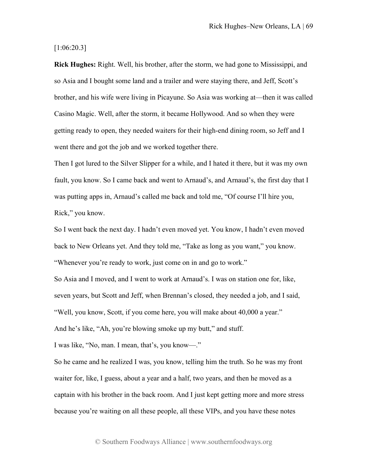[1:06:20.3]

**Rick Hughes:** Right. Well, his brother, after the storm, we had gone to Mississippi, and so Asia and I bought some land and a trailer and were staying there, and Jeff, Scott's brother, and his wife were living in Picayune. So Asia was working at—then it was called Casino Magic. Well, after the storm, it became Hollywood. And so when they were getting ready to open, they needed waiters for their high-end dining room, so Jeff and I went there and got the job and we worked together there.

Then I got lured to the Silver Slipper for a while, and I hated it there, but it was my own fault, you know. So I came back and went to Arnaud's, and Arnaud's, the first day that I was putting apps in, Arnaud's called me back and told me, "Of course I'll hire you, Rick," you know.

So I went back the next day. I hadn't even moved yet. You know, I hadn't even moved back to New Orleans yet. And they told me, "Take as long as you want," you know. "Whenever you're ready to work, just come on in and go to work."

So Asia and I moved, and I went to work at Arnaud's. I was on station one for, like, seven years, but Scott and Jeff, when Brennan's closed, they needed a job, and I said, "Well, you know, Scott, if you come here, you will make about 40,000 a year." And he's like, "Ah, you're blowing smoke up my butt," and stuff.

I was like, "No, man. I mean, that's, you know—."

So he came and he realized I was, you know, telling him the truth. So he was my front waiter for, like, I guess, about a year and a half, two years, and then he moved as a captain with his brother in the back room. And I just kept getting more and more stress because you're waiting on all these people, all these VIPs, and you have these notes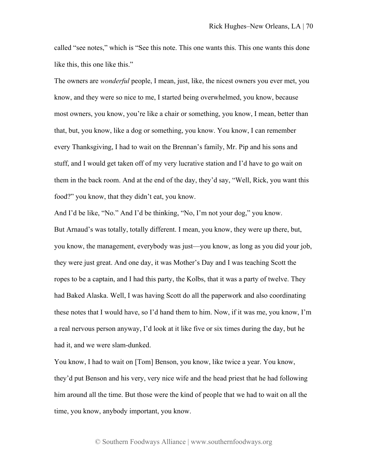called "see notes," which is "See this note. This one wants this. This one wants this done like this, this one like this."

The owners are *wonderful* people, I mean, just, like, the nicest owners you ever met, you know, and they were so nice to me, I started being overwhelmed, you know, because most owners, you know, you're like a chair or something, you know, I mean, better than that, but, you know, like a dog or something, you know. You know, I can remember every Thanksgiving, I had to wait on the Brennan's family, Mr. Pip and his sons and stuff, and I would get taken off of my very lucrative station and I'd have to go wait on them in the back room. And at the end of the day, they'd say, "Well, Rick, you want this food?" you know, that they didn't eat, you know.

And I'd be like, "No." And I'd be thinking, "No, I'm not your dog," you know. But Arnaud's was totally, totally different. I mean, you know, they were up there, but, you know, the management, everybody was just—you know, as long as you did your job, they were just great. And one day, it was Mother's Day and I was teaching Scott the ropes to be a captain, and I had this party, the Kolbs, that it was a party of twelve. They had Baked Alaska. Well, I was having Scott do all the paperwork and also coordinating these notes that I would have, so I'd hand them to him. Now, if it was me, you know, I'm a real nervous person anyway, I'd look at it like five or six times during the day, but he had it, and we were slam-dunked.

You know, I had to wait on [Tom] Benson, you know, like twice a year. You know, they'd put Benson and his very, very nice wife and the head priest that he had following him around all the time. But those were the kind of people that we had to wait on all the time, you know, anybody important, you know.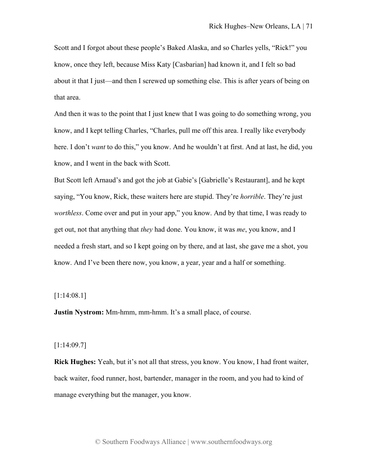Scott and I forgot about these people's Baked Alaska, and so Charles yells, "Rick!" you know, once they left, because Miss Katy [Casbarian] had known it, and I felt so bad about it that I just—and then I screwed up something else. This is after years of being on that area.

And then it was to the point that I just knew that I was going to do something wrong, you know, and I kept telling Charles, "Charles, pull me off this area. I really like everybody here. I don't *want* to do this," you know. And he wouldn't at first. And at last, he did, you know, and I went in the back with Scott.

But Scott left Arnaud's and got the job at Gabie's [Gabrielle's Restaurant], and he kept saying, "You know, Rick, these waiters here are stupid. They're *horrible*. They're just *worthless*. Come over and put in your app," you know. And by that time, I was ready to get out, not that anything that *they* had done. You know, it was *me*, you know, and I needed a fresh start, and so I kept going on by there, and at last, she gave me a shot, you know. And I've been there now, you know, a year, year and a half or something.

# [1:14:08.1]

**Justin Nystrom:** Mm-hmm, mm-hmm. It's a small place, of course.

### [1:14:09.7]

**Rick Hughes:** Yeah, but it's not all that stress, you know. You know, I had front waiter, back waiter, food runner, host, bartender, manager in the room, and you had to kind of manage everything but the manager, you know.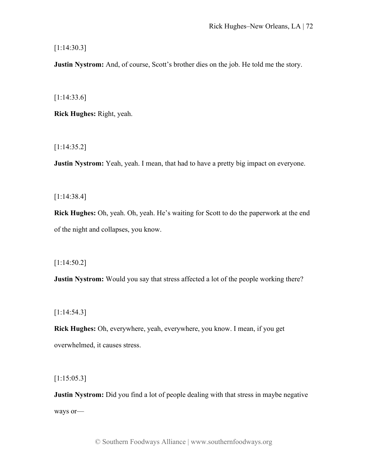[1:14:30.3]

**Justin Nystrom:** And, of course, Scott's brother dies on the job. He told me the story.

[1:14:33.6]

**Rick Hughes:** Right, yeah.

[1:14:35.2]

**Justin Nystrom:** Yeah, yeah. I mean, that had to have a pretty big impact on everyone.

[1:14:38.4]

**Rick Hughes:** Oh, yeah. Oh, yeah. He's waiting for Scott to do the paperwork at the end of the night and collapses, you know.

[1:14:50.2]

**Justin Nystrom:** Would you say that stress affected a lot of the people working there?

[1:14:54.3]

**Rick Hughes:** Oh, everywhere, yeah, everywhere, you know. I mean, if you get overwhelmed, it causes stress.

[1:15:05.3]

**Justin Nystrom:** Did you find a lot of people dealing with that stress in maybe negative ways or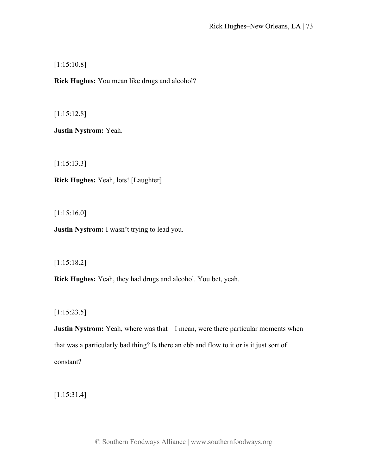[1:15:10.8]

**Rick Hughes:** You mean like drugs and alcohol?

[1:15:12.8]

**Justin Nystrom:** Yeah.

[1:15:13.3]

**Rick Hughes:** Yeah, lots! [Laughter]

[1:15:16.0]

**Justin Nystrom:** I wasn't trying to lead you.

[1:15:18.2]

**Rick Hughes:** Yeah, they had drugs and alcohol. You bet, yeah.

[1:15:23.5]

**Justin Nystrom:** Yeah, where was that—I mean, were there particular moments when that was a particularly bad thing? Is there an ebb and flow to it or is it just sort of constant?

[1:15:31.4]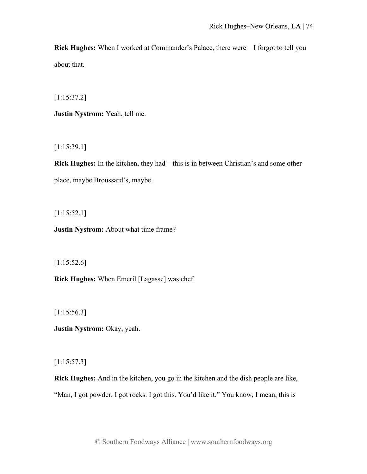**Rick Hughes:** When I worked at Commander's Palace, there were—I forgot to tell you about that.

[1:15:37.2]

**Justin Nystrom:** Yeah, tell me.

[1:15:39.1]

**Rick Hughes:** In the kitchen, they had—this is in between Christian's and some other place, maybe Broussard's, maybe.

[1:15:52.1]

**Justin Nystrom:** About what time frame?

 $[1:15:52.6]$ 

**Rick Hughes:** When Emeril [Lagasse] was chef.

[1:15:56.3]

**Justin Nystrom:** Okay, yeah.

[1:15:57.3]

**Rick Hughes:** And in the kitchen, you go in the kitchen and the dish people are like, "Man, I got powder. I got rocks. I got this. You'd like it." You know, I mean, this is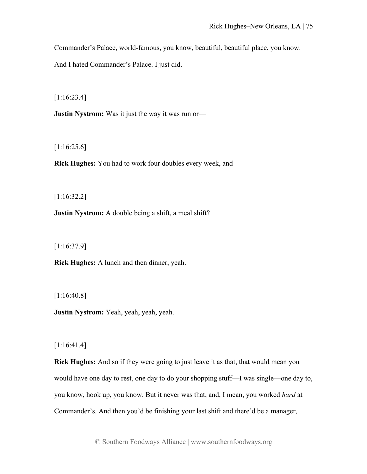Commander's Palace, world-famous, you know, beautiful, beautiful place, you know.

And I hated Commander's Palace. I just did.

[1:16:23.4]

**Justin Nystrom:** Was it just the way it was run or—

[1:16:25.6]

**Rick Hughes:** You had to work four doubles every week, and—

[1:16:32.2]

**Justin Nystrom:** A double being a shift, a meal shift?

[1:16:37.9]

**Rick Hughes:** A lunch and then dinner, yeah.

[1:16:40.8]

**Justin Nystrom:** Yeah, yeah, yeah, yeah.

[1:16:41.4]

**Rick Hughes:** And so if they were going to just leave it as that, that would mean you would have one day to rest, one day to do your shopping stuff—I was single—one day to, you know, hook up, you know. But it never was that, and, I mean, you worked *hard* at Commander's. And then you'd be finishing your last shift and there'd be a manager,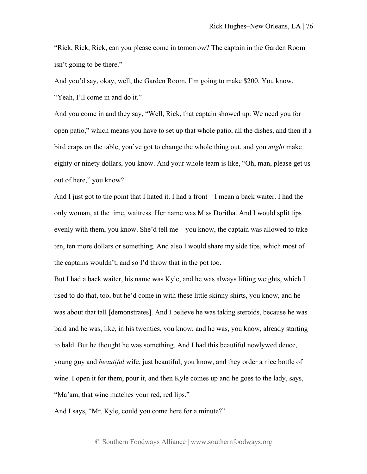"Rick, Rick, Rick, can you please come in tomorrow? The captain in the Garden Room isn't going to be there."

And you'd say, okay, well, the Garden Room, I'm going to make \$200. You know, "Yeah, I'll come in and do it."

And you come in and they say, "Well, Rick, that captain showed up. We need you for open patio," which means you have to set up that whole patio, all the dishes, and then if a bird craps on the table, you've got to change the whole thing out, and you *might* make eighty or ninety dollars, you know. And your whole team is like, "Oh, man, please get us out of here," you know?

And I just got to the point that I hated it. I had a front—I mean a back waiter. I had the only woman, at the time, waitress. Her name was Miss Doritha. And I would split tips evenly with them, you know. She'd tell me—you know, the captain was allowed to take ten, ten more dollars or something. And also I would share my side tips, which most of the captains wouldn't, and so I'd throw that in the pot too.

But I had a back waiter, his name was Kyle, and he was always lifting weights, which I used to do that, too, but he'd come in with these little skinny shirts, you know, and he was about that tall [demonstrates]. And I believe he was taking steroids, because he was bald and he was, like, in his twenties, you know, and he was, you know, already starting to bald. But he thought he was something. And I had this beautiful newlywed deuce, young guy and *beautiful* wife, just beautiful, you know, and they order a nice bottle of wine. I open it for them, pour it, and then Kyle comes up and he goes to the lady, says, "Ma'am, that wine matches your red, red lips."

And I says, "Mr. Kyle, could you come here for a minute?"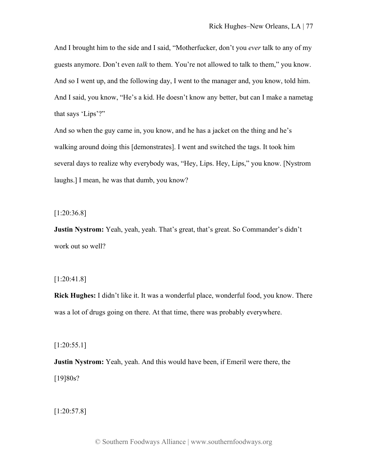And I brought him to the side and I said, "Motherfucker, don't you *ever* talk to any of my guests anymore. Don't even *talk* to them. You're not allowed to talk to them," you know. And so I went up, and the following day, I went to the manager and, you know, told him. And I said, you know, "He's a kid. He doesn't know any better, but can I make a nametag that says 'Lips'?"

And so when the guy came in, you know, and he has a jacket on the thing and he's walking around doing this [demonstrates]. I went and switched the tags. It took him several days to realize why everybody was, "Hey, Lips. Hey, Lips," you know. [Nystrom laughs.] I mean, he was that dumb, you know?

[1:20:36.8]

**Justin Nystrom:** Yeah, yeah, yeah. That's great, that's great. So Commander's didn't work out so well?

## [1:20:41.8]

**Rick Hughes:** I didn't like it. It was a wonderful place, wonderful food, you know. There was a lot of drugs going on there. At that time, there was probably everywhere.

[1:20:55.1]

**Justin Nystrom:** Yeah, yeah. And this would have been, if Emeril were there, the [19]80s?

[1:20:57.8]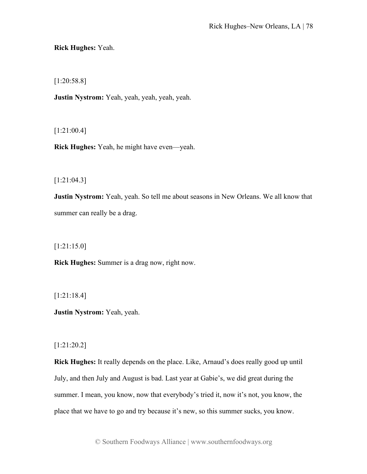**Rick Hughes:** Yeah.

[1:20:58.8]

**Justin Nystrom:** Yeah, yeah, yeah, yeah, yeah.

[1:21:00.4]

**Rick Hughes:** Yeah, he might have even—yeah.

[1:21:04.3]

**Justin Nystrom:** Yeah, yeah. So tell me about seasons in New Orleans. We all know that summer can really be a drag.

[1:21:15.0]

**Rick Hughes:** Summer is a drag now, right now.

[1:21:18.4]

**Justin Nystrom:** Yeah, yeah.

[1:21:20.2]

**Rick Hughes:** It really depends on the place. Like, Arnaud's does really good up until July, and then July and August is bad. Last year at Gabie's, we did great during the summer. I mean, you know, now that everybody's tried it, now it's not, you know, the place that we have to go and try because it's new, so this summer sucks, you know.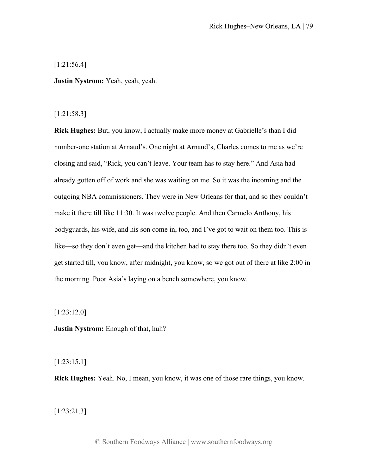## [1:21:56.4]

**Justin Nystrom:** Yeah, yeah, yeah.

## [1:21:58.3]

**Rick Hughes:** But, you know, I actually make more money at Gabrielle's than I did number-one station at Arnaud's. One night at Arnaud's, Charles comes to me as we're closing and said, "Rick, you can't leave. Your team has to stay here." And Asia had already gotten off of work and she was waiting on me. So it was the incoming and the outgoing NBA commissioners. They were in New Orleans for that, and so they couldn't make it there till like 11:30. It was twelve people. And then Carmelo Anthony, his bodyguards, his wife, and his son come in, too, and I've got to wait on them too. This is like—so they don't even get—and the kitchen had to stay there too. So they didn't even get started till, you know, after midnight, you know, so we got out of there at like 2:00 in the morning. Poor Asia's laying on a bench somewhere, you know.

[1:23:12.0]

**Justin Nystrom:** Enough of that, huh?

# [1:23:15.1]

**Rick Hughes:** Yeah. No, I mean, you know, it was one of those rare things, you know.

[1:23:21.3]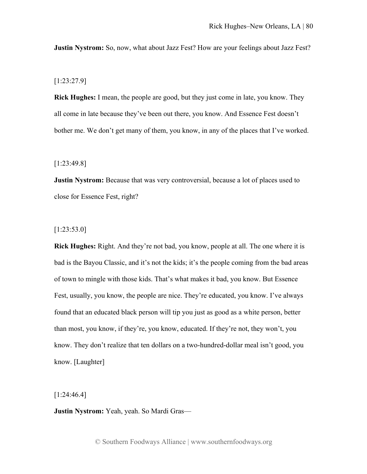**Justin Nystrom:** So, now, what about Jazz Fest? How are your feelings about Jazz Fest?

[1:23:27.9]

**Rick Hughes:** I mean, the people are good, but they just come in late, you know. They all come in late because they've been out there, you know. And Essence Fest doesn't bother me. We don't get many of them, you know, in any of the places that I've worked.

[1:23:49.8]

**Justin Nystrom:** Because that was very controversial, because a lot of places used to close for Essence Fest, right?

[1:23:53.0]

**Rick Hughes:** Right. And they're not bad, you know, people at all. The one where it is bad is the Bayou Classic, and it's not the kids; it's the people coming from the bad areas of town to mingle with those kids. That's what makes it bad, you know. But Essence Fest, usually, you know, the people are nice. They're educated, you know. I've always found that an educated black person will tip you just as good as a white person, better than most, you know, if they're, you know, educated. If they're not, they won't, you know. They don't realize that ten dollars on a two-hundred-dollar meal isn't good, you know. [Laughter]

[1:24:46.4]

**Justin Nystrom:** Yeah, yeah. So Mardi Gras—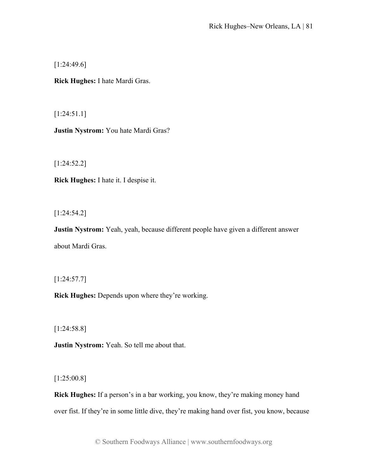[1:24:49.6]

**Rick Hughes:** I hate Mardi Gras.

[1:24:51.1]

**Justin Nystrom:** You hate Mardi Gras?

[1:24:52.2]

**Rick Hughes:** I hate it. I despise it.

[1:24:54.2]

**Justin Nystrom:** Yeah, yeah, because different people have given a different answer about Mardi Gras.

[1:24:57.7]

**Rick Hughes:** Depends upon where they're working.

[1:24:58.8]

**Justin Nystrom:** Yeah. So tell me about that.

[1:25:00.8]

**Rick Hughes:** If a person's in a bar working, you know, they're making money hand over fist. If they're in some little dive, they're making hand over fist, you know, because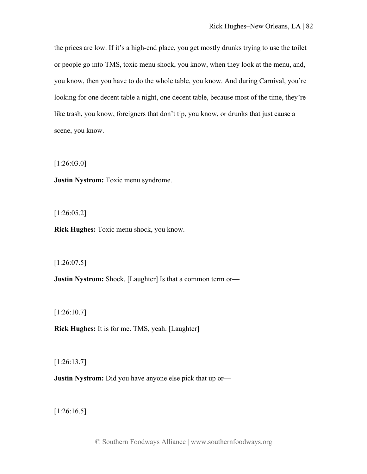the prices are low. If it's a high-end place, you get mostly drunks trying to use the toilet or people go into TMS, toxic menu shock, you know, when they look at the menu, and, you know, then you have to do the whole table, you know. And during Carnival, you're looking for one decent table a night, one decent table, because most of the time, they're like trash, you know, foreigners that don't tip, you know, or drunks that just cause a scene, you know.

[1:26:03.0]

**Justin Nystrom:** Toxic menu syndrome.

[1:26:05.2]

**Rick Hughes:** Toxic menu shock, you know.

[1:26:07.5]

**Justin Nystrom:** Shock. [Laughter] Is that a common term or—

[1:26:10.7]

**Rick Hughes:** It is for me. TMS, yeah. [Laughter]

[1:26:13.7]

**Justin Nystrom:** Did you have anyone else pick that up or—

[1:26:16.5]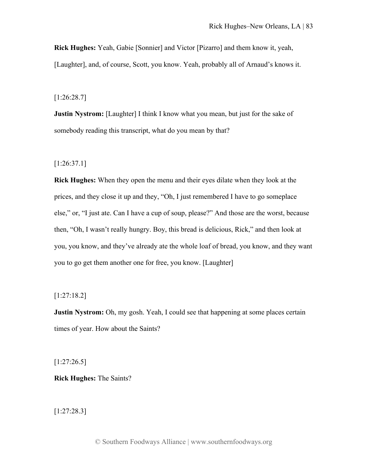**Rick Hughes:** Yeah, Gabie [Sonnier] and Victor [Pizarro] and them know it, yeah, [Laughter], and, of course, Scott, you know. Yeah, probably all of Arnaud's knows it.

[1:26:28.7]

**Justin Nystrom:** [Laughter] I think I know what you mean, but just for the sake of somebody reading this transcript, what do you mean by that?

[1:26:37.1]

**Rick Hughes:** When they open the menu and their eyes dilate when they look at the prices, and they close it up and they, "Oh, I just remembered I have to go someplace else," or, "I just ate. Can I have a cup of soup, please?" And those are the worst, because then, "Oh, I wasn't really hungry. Boy, this bread is delicious, Rick," and then look at you, you know, and they've already ate the whole loaf of bread, you know, and they want you to go get them another one for free, you know. [Laughter]

[1:27:18.2]

**Justin Nystrom:** Oh, my gosh. Yeah, I could see that happening at some places certain times of year. How about the Saints?

[1:27:26.5]

**Rick Hughes:** The Saints?

[1:27:28.3]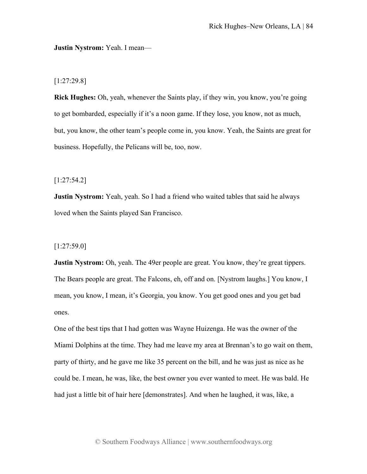#### **Justin Nystrom:** Yeah. I mean—

## [1:27:29.8]

**Rick Hughes:** Oh, yeah, whenever the Saints play, if they win, you know, you're going to get bombarded, especially if it's a noon game. If they lose, you know, not as much, but, you know, the other team's people come in, you know. Yeah, the Saints are great for business. Hopefully, the Pelicans will be, too, now.

## [1:27:54.2]

**Justin Nystrom:** Yeah, yeah. So I had a friend who waited tables that said he always loved when the Saints played San Francisco.

### [1:27:59.0]

**Justin Nystrom:** Oh, yeah. The 49er people are great. You know, they're great tippers. The Bears people are great. The Falcons, eh, off and on. [Nystrom laughs.] You know, I mean, you know, I mean, it's Georgia, you know. You get good ones and you get bad ones.

One of the best tips that I had gotten was Wayne Huizenga. He was the owner of the Miami Dolphins at the time. They had me leave my area at Brennan's to go wait on them, party of thirty, and he gave me like 35 percent on the bill, and he was just as nice as he could be. I mean, he was, like, the best owner you ever wanted to meet. He was bald. He had just a little bit of hair here [demonstrates]. And when he laughed, it was, like, a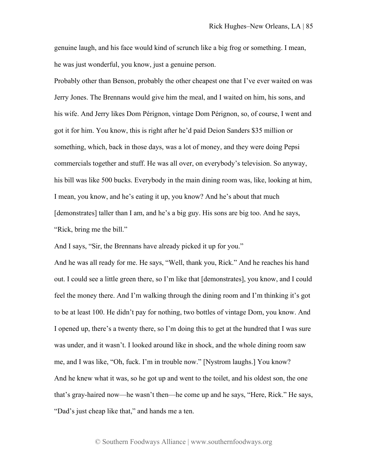genuine laugh, and his face would kind of scrunch like a big frog or something. I mean, he was just wonderful, you know, just a genuine person.

Probably other than Benson, probably the other cheapest one that I've ever waited on was Jerry Jones. The Brennans would give him the meal, and I waited on him, his sons, and his wife. And Jerry likes Dom Pérignon, vintage Dom Pérignon, so, of course, I went and got it for him. You know, this is right after he'd paid Deion Sanders \$35 million or something, which, back in those days, was a lot of money, and they were doing Pepsi commercials together and stuff. He was all over, on everybody's television. So anyway, his bill was like 500 bucks. Everybody in the main dining room was, like, looking at him, I mean, you know, and he's eating it up, you know? And he's about that much [demonstrates] taller than I am, and he's a big guy. His sons are big too. And he says, "Rick, bring me the bill."

And I says, "Sir, the Brennans have already picked it up for you."

And he was all ready for me. He says, "Well, thank you, Rick." And he reaches his hand out. I could see a little green there, so I'm like that [demonstrates], you know, and I could feel the money there. And I'm walking through the dining room and I'm thinking it's got to be at least 100. He didn't pay for nothing, two bottles of vintage Dom, you know. And I opened up, there's a twenty there, so I'm doing this to get at the hundred that I was sure was under, and it wasn't. I looked around like in shock, and the whole dining room saw me, and I was like, "Oh, fuck. I'm in trouble now." [Nystrom laughs.] You know? And he knew what it was, so he got up and went to the toilet, and his oldest son, the one that's gray-haired now—he wasn't then—he come up and he says, "Here, Rick." He says, "Dad's just cheap like that," and hands me a ten.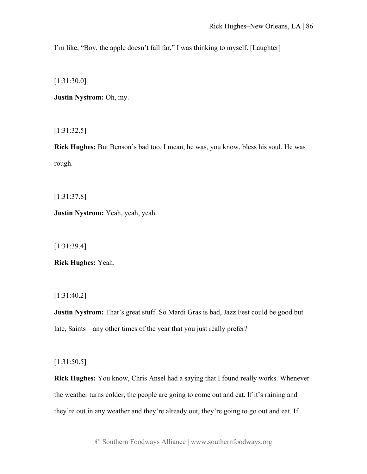I'm like, "Boy, the apple doesn't fall far," I was thinking to myself. [Laughter]

[1:31:30.0]

**Justin Nystrom:** Oh, my.

[1:31:32.5]

**Rick Hughes:** But Benson's bad too. I mean, he was, you know, bless his soul. He was rough.

[1:31:37.8]

**Justin Nystrom:** Yeah, yeah, yeah.

[1:31:39.4]

**Rick Hughes:** Yeah.

[1:31:40.2]

**Justin Nystrom:** That's great stuff. So Mardi Gras is bad, Jazz Fest could be good but late, Saints—any other times of the year that you just really prefer?

[1:31:50.5]

**Rick Hughes:** You know, Chris Ansel had a saying that I found really works. Whenever the weather turns colder, the people are going to come out and eat. If it's raining and they're out in any weather and they're already out, they're going to go out and eat. If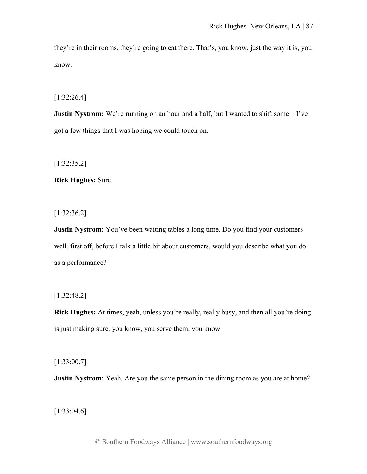they're in their rooms, they're going to eat there. That's, you know, just the way it is, you know.

[1:32:26.4]

**Justin Nystrom:** We're running on an hour and a half, but I wanted to shift some—I've got a few things that I was hoping we could touch on.

[1:32:35.2]

**Rick Hughes:** Sure.

[1:32:36.2]

**Justin Nystrom:** You've been waiting tables a long time. Do you find your customers well, first off, before I talk a little bit about customers, would you describe what you do as a performance?

[1:32:48.2]

**Rick Hughes:** At times, yeah, unless you're really, really busy, and then all you're doing is just making sure, you know, you serve them, you know.

[1:33:00.7]

**Justin Nystrom:** Yeah. Are you the same person in the dining room as you are at home?

[1:33:04.6]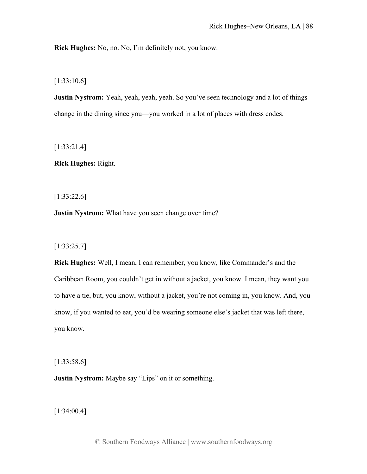**Rick Hughes:** No, no. No, I'm definitely not, you know.

[1:33:10.6]

**Justin Nystrom:** Yeah, yeah, yeah, yeah. So you've seen technology and a lot of things change in the dining since you—you worked in a lot of places with dress codes.

[1:33:21.4]

**Rick Hughes:** Right.

[1:33:22.6]

**Justin Nystrom:** What have you seen change over time?

[1:33:25.7]

**Rick Hughes:** Well, I mean, I can remember, you know, like Commander's and the Caribbean Room, you couldn't get in without a jacket, you know. I mean, they want you to have a tie, but, you know, without a jacket, you're not coming in, you know. And, you know, if you wanted to eat, you'd be wearing someone else's jacket that was left there, you know.

[1:33:58.6]

**Justin Nystrom:** Maybe say "Lips" on it or something.

[1:34:00.4]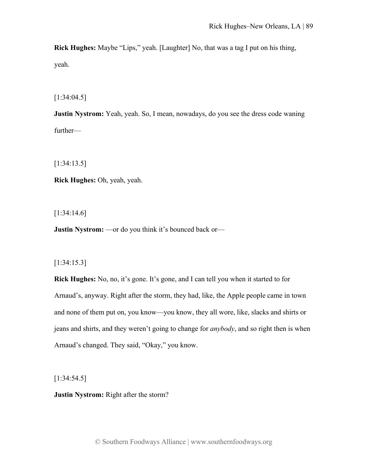**Rick Hughes:** Maybe "Lips," yeah. [Laughter] No, that was a tag I put on his thing, yeah.

[1:34:04.5]

**Justin Nystrom:** Yeah, yeah. So, I mean, nowadays, do you see the dress code waning further—

[1:34:13.5]

**Rick Hughes:** Oh, yeah, yeah.

[1:34:14.6]

**Justin Nystrom:** —or do you think it's bounced back or—

#### [1:34:15.3]

**Rick Hughes:** No, no, it's gone. It's gone, and I can tell you when it started to for Arnaud's, anyway. Right after the storm, they had, like, the Apple people came in town and none of them put on, you know—you know, they all wore, like, slacks and shirts or jeans and shirts, and they weren't going to change for *anybody*, and so right then is when Arnaud's changed. They said, "Okay," you know.

[1:34:54.5]

**Justin Nystrom:** Right after the storm?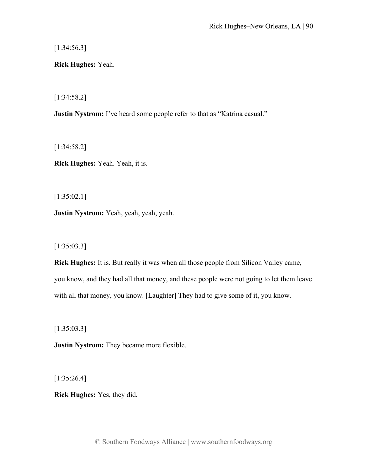[1:34:56.3]

**Rick Hughes:** Yeah.

[1:34:58.2]

**Justin Nystrom:** I've heard some people refer to that as "Katrina casual."

[1:34:58.2]

**Rick Hughes:** Yeah. Yeah, it is.

[1:35:02.1]

**Justin Nystrom:** Yeah, yeah, yeah, yeah.

[1:35:03.3]

**Rick Hughes:** It is. But really it was when all those people from Silicon Valley came, you know, and they had all that money, and these people were not going to let them leave with all that money, you know. [Laughter] They had to give some of it, you know.

[1:35:03.3]

**Justin Nystrom:** They became more flexible.

[1:35:26.4]

**Rick Hughes:** Yes, they did.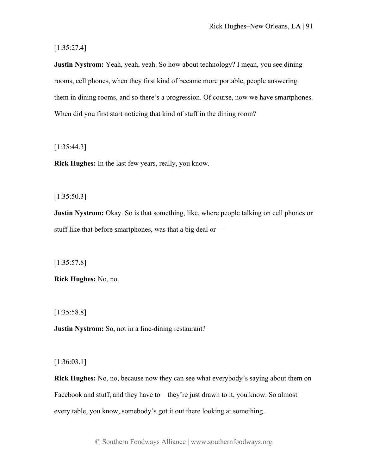[1:35:27.4]

**Justin Nystrom:** Yeah, yeah, yeah. So how about technology? I mean, you see dining rooms, cell phones, when they first kind of became more portable, people answering them in dining rooms, and so there's a progression. Of course, now we have smartphones. When did you first start noticing that kind of stuff in the dining room?

[1:35:44.3]

**Rick Hughes:** In the last few years, really, you know.

[1:35:50.3]

**Justin Nystrom:** Okay. So is that something, like, where people talking on cell phones or stuff like that before smartphones, was that a big deal or—

[1:35:57.8]

**Rick Hughes:** No, no.

[1:35:58.8]

**Justin Nystrom:** So, not in a fine-dining restaurant?

[1:36:03.1]

**Rick Hughes:** No, no, because now they can see what everybody's saying about them on Facebook and stuff, and they have to—they're just drawn to it, you know. So almost every table, you know, somebody's got it out there looking at something.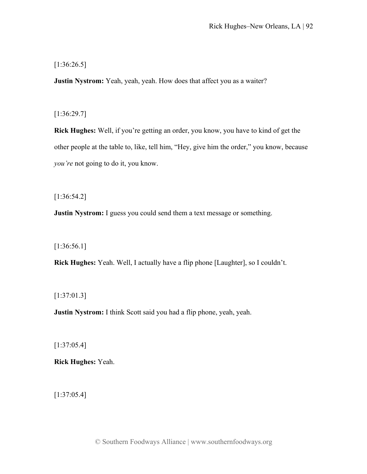[1:36:26.5]

**Justin Nystrom:** Yeah, yeah, yeah. How does that affect you as a waiter?

[1:36:29.7]

**Rick Hughes:** Well, if you're getting an order, you know, you have to kind of get the other people at the table to, like, tell him, "Hey, give him the order," you know, because *you're* not going to do it, you know.

[1:36:54.2]

**Justin Nystrom:** I guess you could send them a text message or something.

[1:36:56.1]

**Rick Hughes:** Yeah. Well, I actually have a flip phone [Laughter], so I couldn't.

[1:37:01.3]

**Justin Nystrom:** I think Scott said you had a flip phone, yeah, yeah.

[1:37:05.4]

**Rick Hughes:** Yeah.

[1:37:05.4]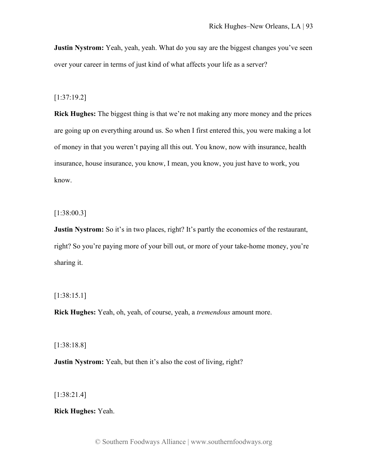**Justin Nystrom:** Yeah, yeah, yeah. What do you say are the biggest changes you've seen over your career in terms of just kind of what affects your life as a server?

## [1:37:19.2]

**Rick Hughes:** The biggest thing is that we're not making any more money and the prices are going up on everything around us. So when I first entered this, you were making a lot of money in that you weren't paying all this out. You know, now with insurance, health insurance, house insurance, you know, I mean, you know, you just have to work, you know.

[1:38:00.3]

**Justin Nystrom:** So it's in two places, right? It's partly the economics of the restaurant, right? So you're paying more of your bill out, or more of your take-home money, you're sharing it.

[1:38:15.1]

**Rick Hughes:** Yeah, oh, yeah, of course, yeah, a *tremendous* amount more.

[1:38:18.8]

**Justin Nystrom:** Yeah, but then it's also the cost of living, right?

[1:38:21.4]

**Rick Hughes:** Yeah.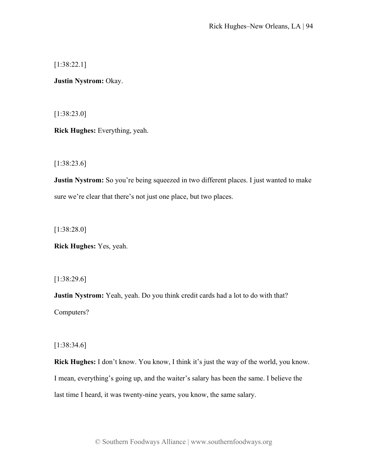[1:38:22.1]

**Justin Nystrom:** Okay.

[1:38:23.0]

**Rick Hughes:** Everything, yeah.

[1:38:23.6]

**Justin Nystrom:** So you're being squeezed in two different places. I just wanted to make sure we're clear that there's not just one place, but two places.

[1:38:28.0]

**Rick Hughes:** Yes, yeah.

[1:38:29.6]

**Justin Nystrom:** Yeah, yeah. Do you think credit cards had a lot to do with that? Computers?

[1:38:34.6]

**Rick Hughes:** I don't know. You know, I think it's just the way of the world, you know. I mean, everything's going up, and the waiter's salary has been the same. I believe the last time I heard, it was twenty-nine years, you know, the same salary.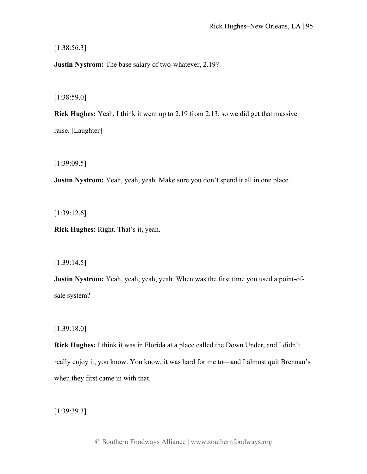[1:38:56.3]

**Justin Nystrom:** The base salary of two-whatever, 2.19?

[1:38:59.0]

**Rick Hughes:** Yeah, I think it went up to 2.19 from 2.13, so we did get that massive raise. [Laughter]

[1:39:09.5]

**Justin Nystrom:** Yeah, yeah, yeah. Make sure you don't spend it all in one place.

[1:39:12.6]

**Rick Hughes:** Right. That's it, yeah.

[1:39:14.5]

**Justin Nystrom:** Yeah, yeah, yeah, yeah. When was the first time you used a point-ofsale system?

[1:39:18.0]

**Rick Hughes:** I think it was in Florida at a place called the Down Under, and I didn't really enjoy it, you know. You know, it was hard for me to—and I almost quit Brennan's when they first came in with that.

[1:39:39.3]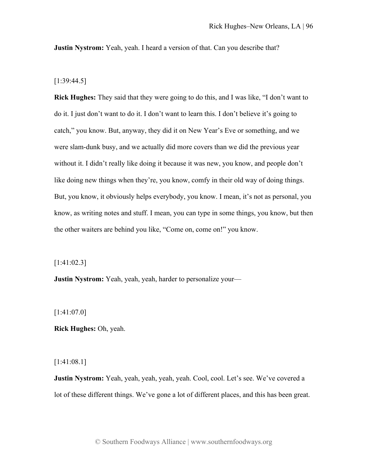**Justin Nystrom:** Yeah, yeah. I heard a version of that. Can you describe that?

[1:39:44.5]

**Rick Hughes:** They said that they were going to do this, and I was like, "I don't want to do it. I just don't want to do it. I don't want to learn this. I don't believe it's going to catch," you know. But, anyway, they did it on New Year's Eve or something, and we were slam-dunk busy, and we actually did more covers than we did the previous year without it. I didn't really like doing it because it was new, you know, and people don't like doing new things when they're, you know, comfy in their old way of doing things. But, you know, it obviously helps everybody, you know. I mean, it's not as personal, you know, as writing notes and stuff. I mean, you can type in some things, you know, but then the other waiters are behind you like, "Come on, come on!" you know.

[1:41:02.3]

**Justin Nystrom:** Yeah, yeah, yeah, harder to personalize your—

[1:41:07.0]

**Rick Hughes:** Oh, yeah.

[1:41:08.1]

**Justin Nystrom:** Yeah, yeah, yeah, yeah, yeah. Cool, cool. Let's see. We've covered a lot of these different things. We've gone a lot of different places, and this has been great.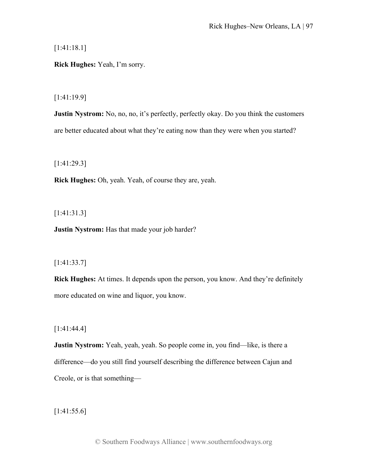[1:41:18.1]

**Rick Hughes:** Yeah, I'm sorry.

[1:41:19.9]

**Justin Nystrom:** No, no, no, it's perfectly, perfectly okay. Do you think the customers are better educated about what they're eating now than they were when you started?

[1:41:29.3]

**Rick Hughes:** Oh, yeah. Yeah, of course they are, yeah.

[1:41:31.3]

**Justin Nystrom:** Has that made your job harder?

## [1:41:33.7]

**Rick Hughes:** At times. It depends upon the person, you know. And they're definitely more educated on wine and liquor, you know.

[1:41:44.4]

**Justin Nystrom:** Yeah, yeah, yeah. So people come in, you find—like, is there a difference—do you still find yourself describing the difference between Cajun and Creole, or is that something—

[1:41:55.6]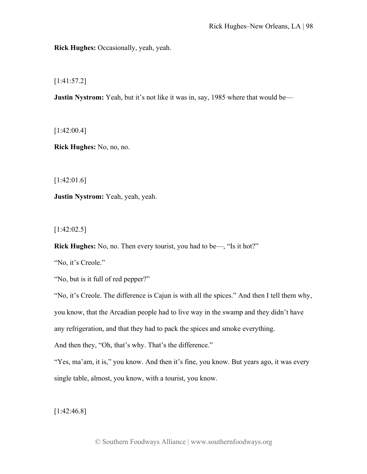**Rick Hughes:** Occasionally, yeah, yeah.

[1:41:57.2]

**Justin Nystrom:** Yeah, but it's not like it was in, say, 1985 where that would be—

[1:42:00.4]

**Rick Hughes:** No, no, no.

[1:42:01.6]

**Justin Nystrom:** Yeah, yeah, yeah.

 $[1:42:02.5]$ 

**Rick Hughes:** No, no. Then every tourist, you had to be—, "Is it hot?"

"No, it's Creole."

"No, but is it full of red pepper?"

"No, it's Creole. The difference is Cajun is with all the spices." And then I tell them why, you know, that the Arcadian people had to live way in the swamp and they didn't have any refrigeration, and that they had to pack the spices and smoke everything.

And then they, "Oh, that's why. That's the difference."

"Yes, ma'am, it is," you know. And then it's fine, you know. But years ago, it was every single table, almost, you know, with a tourist, you know.

[1:42:46.8]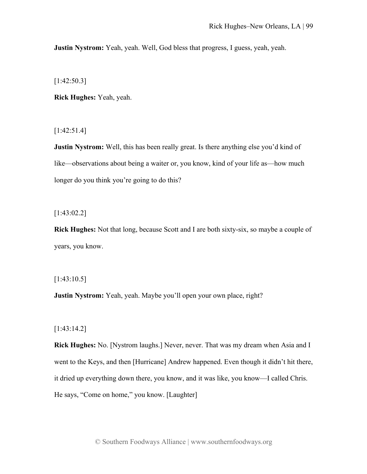**Justin Nystrom:** Yeah, yeah. Well, God bless that progress, I guess, yeah, yeah.

[1:42:50.3]

**Rick Hughes:** Yeah, yeah.

[1:42:51.4]

**Justin Nystrom:** Well, this has been really great. Is there anything else you'd kind of like—observations about being a waiter or, you know, kind of your life as—how much longer do you think you're going to do this?

[1:43:02.2]

**Rick Hughes:** Not that long, because Scott and I are both sixty-six, so maybe a couple of years, you know.

[1:43:10.5]

**Justin Nystrom:** Yeah, yeah. Maybe you'll open your own place, right?

[1:43:14.2]

**Rick Hughes:** No. [Nystrom laughs.] Never, never. That was my dream when Asia and I went to the Keys, and then [Hurricane] Andrew happened. Even though it didn't hit there, it dried up everything down there, you know, and it was like, you know—I called Chris. He says, "Come on home," you know. [Laughter]